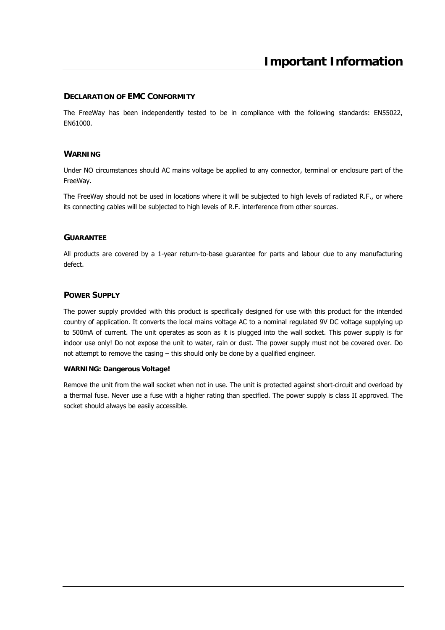### **DECLARATION OF EMC CONFORMITY**

The FreeWay has been independently tested to be in compliance with the following standards: EN55022, EN61000.

### **WARNING**

Under NO circumstances should AC mains voltage be applied to any connector, terminal or enclosure part of the FreeWay.

The FreeWay should not be used in locations where it will be subjected to high levels of radiated R.F., or where its connecting cables will be subjected to high levels of R.F. interference from other sources.

### **GUARANTEE**

All products are covered by a 1-year return-to-base guarantee for parts and labour due to any manufacturing defect.

### **POWER SUPPLY**

The power supply provided with this product is specifically designed for use with this product for the intended country of application. It converts the local mains voltage AC to a nominal regulated 9V DC voltage supplying up to 500mA of current. The unit operates as soon as it is plugged into the wall socket. This power supply is for indoor use only! Do not expose the unit to water, rain or dust. The power supply must not be covered over. Do not attempt to remove the casing – this should only be done by a qualified engineer.

#### **WARNING: Dangerous Voltage!**

Remove the unit from the wall socket when not in use. The unit is protected against short-circuit and overload by a thermal fuse. Never use a fuse with a higher rating than specified. The power supply is class II approved. The socket should always be easily accessible.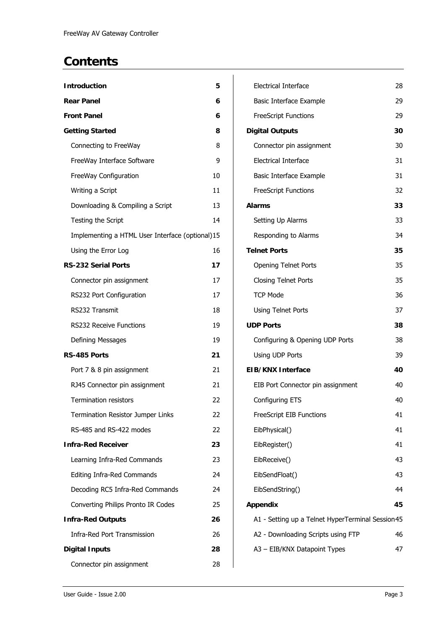# **Contents**

| Introduction                                    | 5  |
|-------------------------------------------------|----|
| <b>Rear Panel</b>                               | 6  |
| <b>Front Panel</b>                              | 6  |
| <b>Getting Started</b>                          | 8  |
| Connecting to FreeWay                           | 8  |
| FreeWay Interface Software                      | 9  |
| FreeWay Configuration                           | 10 |
| Writing a Script                                | 11 |
| Downloading & Compiling a Script                | 13 |
| Testing the Script                              | 14 |
| Implementing a HTML User Interface (optional)15 |    |
| Using the Error Log                             | 16 |
| <b>RS-232 Serial Ports</b>                      | 17 |
| Connector pin assignment                        | 17 |
| RS232 Port Configuration                        | 17 |
| RS232 Transmit                                  | 18 |
| <b>RS232 Receive Functions</b>                  | 19 |
| Defining Messages                               | 19 |
| RS-485 Ports                                    | 21 |
| Port 7 & 8 pin assignment                       | 21 |
| RJ45 Connector pin assignment                   | 21 |
| <b>Termination resistors</b>                    | 22 |
| Termination Resistor Jumper Links               | 22 |
| RS-485 and RS-422 modes                         | 22 |
| <b>Infra-Red Receiver</b>                       | 23 |
| Learning Infra-Red Commands                     | 23 |
| <b>Editing Infra-Red Commands</b>               | 24 |
| Decoding RC5 Infra-Red Commands                 | 24 |
| Converting Philips Pronto IR Codes              | 25 |
| <b>Infra-Red Outputs</b>                        | 26 |
| <b>Infra-Red Port Transmission</b>              | 26 |
| <b>Digital Inputs</b>                           | 28 |
| Connector pin assignment                        | 28 |

| <b>Electrical Interface</b>                       | 28 |
|---------------------------------------------------|----|
| <b>Basic Interface Example</b>                    | 29 |
| <b>FreeScript Functions</b>                       | 29 |
| <b>Digital Outputs</b>                            | 30 |
| Connector pin assignment                          | 30 |
| <b>Electrical Interface</b>                       | 31 |
| Basic Interface Example                           | 31 |
| <b>FreeScript Functions</b>                       | 32 |
| <b>Alarms</b>                                     | 33 |
| Setting Up Alarms                                 | 33 |
| Responding to Alarms                              | 34 |
| <b>Telnet Ports</b>                               | 35 |
| <b>Opening Telnet Ports</b>                       | 35 |
| <b>Closing Telnet Ports</b>                       | 35 |
| <b>TCP Mode</b>                                   | 36 |
| <b>Using Telnet Ports</b>                         | 37 |
| <b>UDP Ports</b>                                  | 38 |
| Configuring & Opening UDP Ports                   | 38 |
| Using UDP Ports                                   | 39 |
| EIB/KNX Interface                                 | 40 |
| EIB Port Connector pin assignment                 | 40 |
| Configuring ETS                                   | 40 |
| <b>FreeScript EIB Functions</b>                   | 41 |
| EibPhysical()                                     | 41 |
| EibRegister()                                     | 41 |
| EibReceive()                                      | 43 |
| EibSendFloat()                                    | 43 |
| EibSendString()                                   | 44 |
| Appendix                                          | 45 |
| A1 - Setting up a Telnet HyperTerminal Session 45 |    |
| A2 - Downloading Scripts using FTP                | 46 |
| A3 - EIB/KNX Datapoint Types                      | 47 |
|                                                   |    |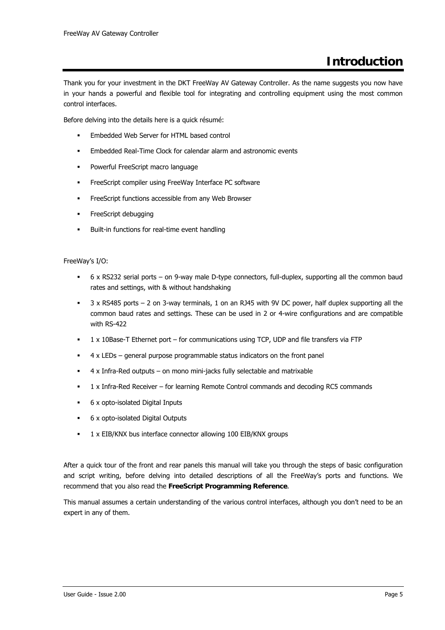# **Introduction**

Thank you for your investment in the DKT FreeWay AV Gateway Controller. As the name suggests you now have in your hands a powerful and flexible tool for integrating and controlling equipment using the most common control interfaces.

Before delving into the details here is a quick résumé:

- Embedded Web Server for HTML based control
- Embedded Real-Time Clock for calendar alarm and astronomic events
- **•** Powerful FreeScript macro language
- FreeScript compiler using FreeWay Interface PC software
- **FreeScript functions accessible from any Web Browser**
- FreeScript debugging
- Built-in functions for real-time event handling

#### FreeWay's I/O:

- 6 x RS232 serial ports on 9-way male D-type connectors, full-duplex, supporting all the common baud rates and settings, with & without handshaking
- 3 x RS485 ports 2 on 3-way terminals, 1 on an RJ45 with 9V DC power, half duplex supporting all the common baud rates and settings. These can be used in 2 or 4-wire configurations and are compatible with RS-422
- 1 x 10Base-T Ethernet port for communications using TCP, UDP and file transfers via FTP
- 4 x LEDs general purpose programmable status indicators on the front panel
- 4 x Infra-Red outputs on mono mini-jacks fully selectable and matrixable
- 1 x Infra-Red Receiver for learning Remote Control commands and decoding RC5 commands
- 6 x opto-isolated Digital Inputs
- 6 x opto-isolated Digital Outputs
- **1** x EIB/KNX bus interface connector allowing 100 EIB/KNX groups

After a quick tour of the front and rear panels this manual will take you through the steps of basic configuration and script writing, before delving into detailed descriptions of all the FreeWay's ports and functions. We recommend that you also read the **FreeScript Programming Reference**.

This manual assumes a certain understanding of the various control interfaces, although you don't need to be an expert in any of them.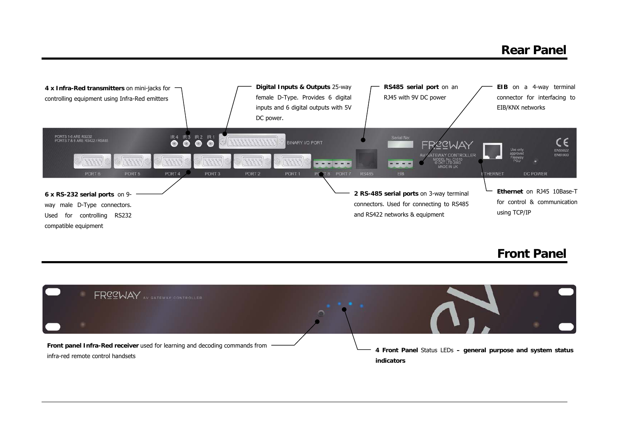# **Rear Panel**



# **Front Panel**

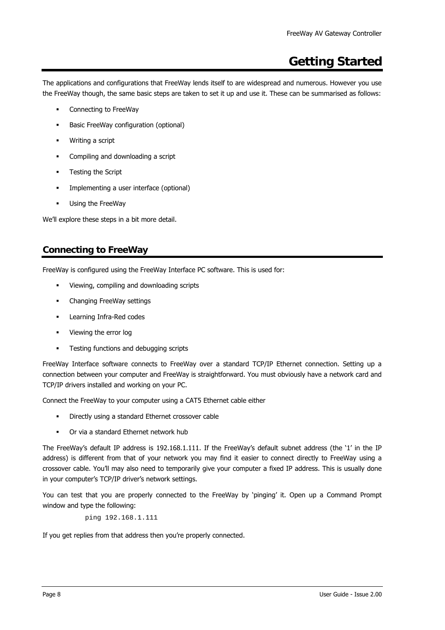# **Getting Started**

The applications and configurations that FreeWay lends itself to are widespread and numerous. However you use the FreeWay though, the same basic steps are taken to set it up and use it. These can be summarised as follows:

- Connecting to FreeWay
- Basic FreeWay configuration (optional)
- Writing a script
- **•** Compiling and downloading a script
- **Testing the Script**
- **Implementing a user interface (optional)**
- **-** Using the FreeWay

We'll explore these steps in a bit more detail.

## **Connecting to FreeWay**

FreeWay is configured using the FreeWay Interface PC software. This is used for:

- Viewing, compiling and downloading scripts
- **•** Changing FreeWay settings
- **Learning Infra-Red codes**
- **•** Viewing the error log
- **Testing functions and debugging scripts**

FreeWay Interface software connects to FreeWay over a standard TCP/IP Ethernet connection. Setting up a connection between your computer and FreeWay is straightforward. You must obviously have a network card and TCP/IP drivers installed and working on your PC.

Connect the FreeWay to your computer using a CAT5 Ethernet cable either

- **•** Directly using a standard Ethernet crossover cable
- Or via a standard Ethernet network hub

The FreeWay's default IP address is 192.168.1.111. If the FreeWay's default subnet address (the '1' in the IP address) is different from that of your network you may find it easier to connect directly to FreeWay using a crossover cable. You'll may also need to temporarily give your computer a fixed IP address. This is usually done in your computer's TCP/IP driver's network settings.

You can test that you are properly connected to the FreeWay by 'pinging' it. Open up a Command Prompt window and type the following:

ping 192.168.1.111

If you get replies from that address then you're properly connected.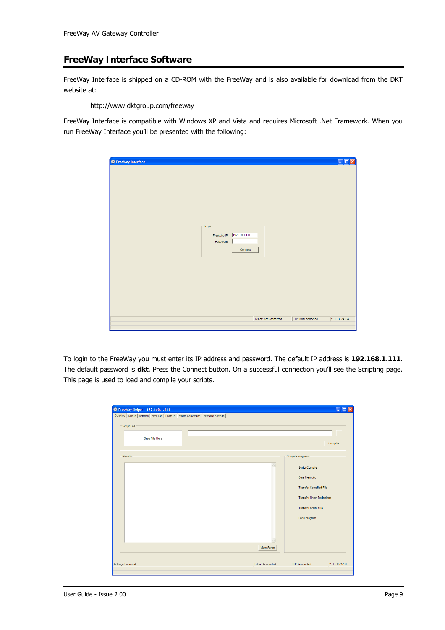### **FreeWay Interface Software**

FreeWay Interface is shipped on a CD-ROM with the FreeWay and is also available for download from the DKT website at:

http://www.dktgroup.com/freeway

FreeWay Interface is compatible with Windows XP and Vista and requires Microsoft .Net Framework. When you run FreeWay Interface you'll be presented with the following:

| <b>O</b> FreeWay Interface |                                   |                          |                       |                    | $\Box$ o $\times$ |
|----------------------------|-----------------------------------|--------------------------|-----------------------|--------------------|-------------------|
|                            | Login<br>FreeWay IP:<br>Password: | 192.168.1.111<br>Connect |                       |                    |                   |
|                            |                                   |                          |                       |                    |                   |
|                            |                                   |                          | Telnet: Not Connected | FTP: Not Connected | V. 1.0.0.24234    |

To login to the FreeWay you must enter its IP address and password. The default IP address is **192.168.1.111**. The default password is **dkt**. Press the Connect button. On a successful connection you'll see the Scripting page. This page is used to load and compile your scripts.

| FreeWay Helper - 192.168.1.111                                                              |                    |                                  | 1 - 1 -           |
|---------------------------------------------------------------------------------------------|--------------------|----------------------------------|-------------------|
| Scripting   Debug   Settings   Error Log   Leam IR   Pronto Conversion   Interface Settings |                    |                                  |                   |
| Script File<br>Drag File Here                                                               |                    |                                  | $\sim$<br>Compile |
| Results                                                                                     |                    | Compile Progress                 |                   |
|                                                                                             | $\wedge$           | Script Compile                   |                   |
|                                                                                             |                    | Stop FreeWay                     |                   |
|                                                                                             |                    | <b>Transfer Compiled File</b>    |                   |
|                                                                                             |                    | <b>Transfer Name Definitions</b> |                   |
|                                                                                             |                    | <b>Transfer Script File</b>      |                   |
|                                                                                             |                    | Load Program                     |                   |
|                                                                                             |                    |                                  |                   |
|                                                                                             | <b>View Script</b> |                                  |                   |
|                                                                                             |                    |                                  |                   |
| Settings Received.                                                                          | Telnet: Connected  | FTP: Connected                   | V. 1.0.0.24234    |
|                                                                                             |                    |                                  |                   |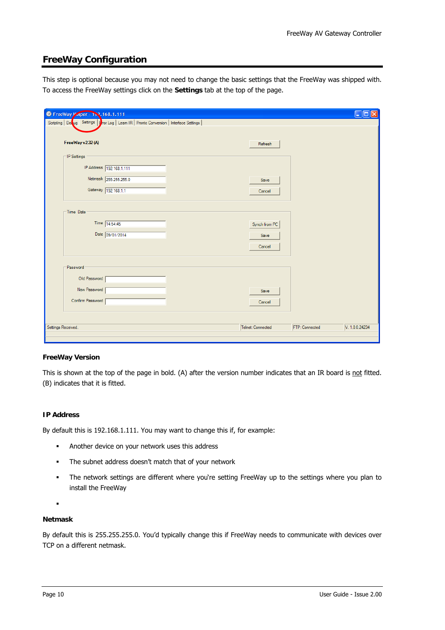## **FreeWay Configuration**

This step is optional because you may not need to change the basic settings that the FreeWay was shipped with. To access the FreeWay settings click on the **Settings** tab at the top of the page.

| <b>O</b> FreeWay Pelper - 152, 168.1.111                                                 |                                     | $\blacksquare$ $\blacksquare$ |
|------------------------------------------------------------------------------------------|-------------------------------------|-------------------------------|
| Scripting   Desug Settings   Fror Log   Leam IR   Pronto Conversion   Interface Settings |                                     |                               |
|                                                                                          |                                     |                               |
| FreeWay v2.32 (A)                                                                        | Refresh                             |                               |
| -IP Settings                                                                             |                                     |                               |
| IP Address 192.168.1.111                                                                 |                                     |                               |
| Netmask 255.255.255.0                                                                    | Save                                |                               |
|                                                                                          |                                     |                               |
| Gateway 192.168.1.1                                                                      | Cancel                              |                               |
|                                                                                          |                                     |                               |
| Time Date                                                                                |                                     |                               |
| Time $14:54:45$                                                                          | Synch from PC                       |                               |
| Date 09/01/2014                                                                          | Save                                |                               |
|                                                                                          | Cancel                              |                               |
|                                                                                          |                                     |                               |
| Password                                                                                 |                                     |                               |
| Old Password                                                                             |                                     |                               |
| New Password                                                                             | Save                                |                               |
| Confirm Password                                                                         | Cancel                              |                               |
|                                                                                          |                                     |                               |
|                                                                                          |                                     |                               |
| Settings Received.                                                                       | Telnet: Connected<br>FTP: Connected | V. 1.0.0.24234                |
|                                                                                          |                                     |                               |

#### **FreeWay Version**

This is shown at the top of the page in bold. (A) after the version number indicates that an IR board is not fitted. (B) indicates that it is fitted.

### **IP Address**

By default this is 192.168.1.111. You may want to change this if, for example:

- **Another device on your network uses this address**
- **The subnet address doesn't match that of your network**
- The network settings are different where you're setting FreeWay up to the settings where you plan to install the FreeWay

ä,

### **Netmask**

By default this is 255.255.255.0. You'd typically change this if FreeWay needs to communicate with devices over TCP on a different netmask.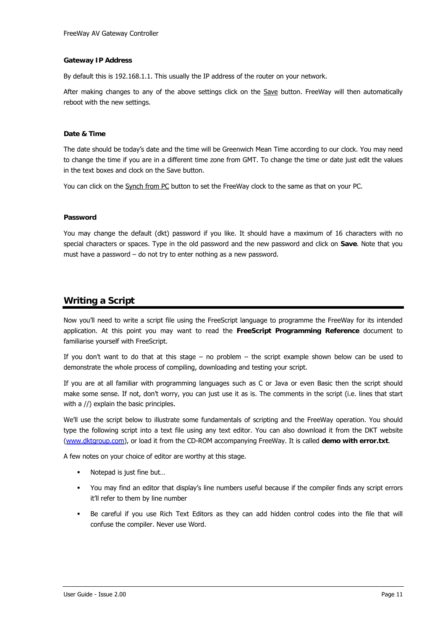### **Gateway IP Address**

By default this is 192.168.1.1. This usually the IP address of the router on your network.

After making changes to any of the above settings click on the Save button. FreeWay will then automatically reboot with the new settings.

#### **Date & Time**

The date should be today's date and the time will be Greenwich Mean Time according to our clock. You may need to change the time if you are in a different time zone from GMT. To change the time or date just edit the values in the text boxes and clock on the Save button.

You can click on the Synch from PC button to set the FreeWay clock to the same as that on your PC.

#### **Password**

You may change the default (dkt) password if you like. It should have a maximum of 16 characters with no special characters or spaces. Type in the old password and the new password and click on **Save**. Note that you must have a password – do not try to enter nothing as a new password.

### **Writing a Script**

Now you'll need to write a script file using the FreeScript language to programme the FreeWay for its intended application. At this point you may want to read the **FreeScript Programming Reference** document to familiarise yourself with FreeScript.

If you don't want to do that at this stage – no problem – the script example shown below can be used to demonstrate the whole process of compiling, downloading and testing your script.

If you are at all familiar with programming languages such as C or Java or even Basic then the script should make some sense. If not, don't worry, you can just use it as is. The comments in the script (i.e. lines that start with a  $\text{/}$ ) explain the basic principles.

We'll use the script below to illustrate some fundamentals of scripting and the FreeWay operation. You should type the following script into a text file using any text editor. You can also download it from the DKT website (www.dktgroup.com), or load it from the CD-ROM accompanying FreeWay. It is called **demo with error.txt**.

A few notes on your choice of editor are worthy at this stage.

- Notepad is just fine but...
- You may find an editor that display's line numbers useful because if the compiler finds any script errors it'll refer to them by line number
- Be careful if you use Rich Text Editors as they can add hidden control codes into the file that will confuse the compiler. Never use Word.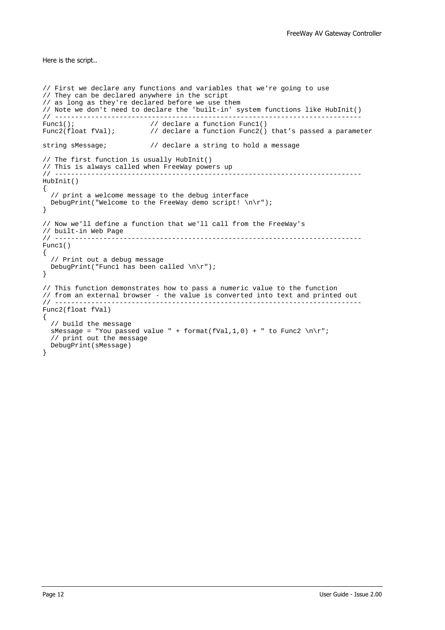Here is the script..

```
// First we declare any functions and variables that we're going to use 
// They can be declared anywhere in the script 
// as long as they're declared before we use them 
// Note we don't need to declare the 'built-in' system functions like HubInit() 
// ---------------------------------------------------------------------------- 
Func1(); <br> \begin{array}{ccc} 7/2 & \text{``r} & \text{``r} \end{array}<br> \begin{array}{ccc} 7/2 & \text{``r} & \text{``r} \end{array} \begin{array}{ccc} 7/2 & \text{``r} & \text{``r} \end{array} \begin{array}{ccc} 7/2 & \text{``r} \end{array} a function Func2()
                               // declare a function Func2() that's passed a parameter
string sMessage; \frac{1}{4} declare a string to hold a message
// The first function is usually HubInit() 
// This is always called when FreeWay powers up 
// ---------------------------------------------------------------------------- 
HubInit() 
{ 
   // print a welcome message to the debug interface 
  DebugPrint("Welcome to the FreeWay demo script! \n\times");
} 
// Now we'll define a function that we'll call from the FreeWay's 
// built-in Web Page 
// ---------------------------------------------------------------------------- 
Func1() 
{ 
   // Print out a debug message 
  DebugPrint("Func1 has been called \n\pi");
} 
// This function demonstrates how to pass a numeric value to the function 
// from an external browser - the value is converted into text and printed out 
// ---------------------------------------------------------------------------- 
Func2(float fVal) 
{ 
   // build the message 
  sMessage = "You passed value " + format(fVal,1,0) + " to Func2 \n\times";
   // print out the message 
   DebugPrint(sMessage) 
}
```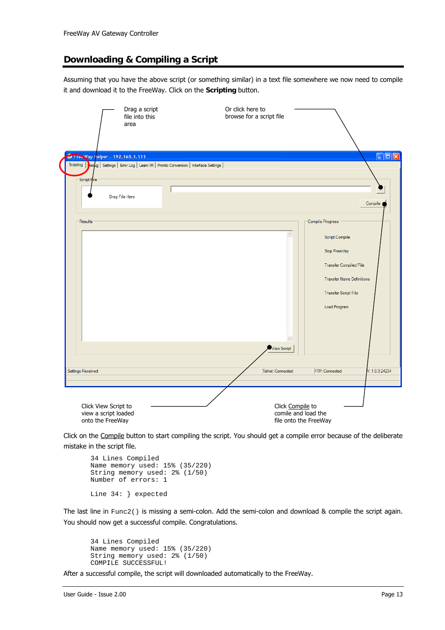### **Downloading & Compiling a Script**

Assuming that you have the above script (or something similar) in a text file somewhere we now need to compile it and download it to the FreeWay. Click on the **Scripting** button.

| Drag a script<br>file into this<br>area                                                                                                                         | Or click here to<br>browse for a script file |                                                                                                                                                                 |
|-----------------------------------------------------------------------------------------------------------------------------------------------------------------|----------------------------------------------|-----------------------------------------------------------------------------------------------------------------------------------------------------------------|
| The Way Helper - 192.168.1.111<br>Scripting   ebug   Settings   Error Log   Leam IR   Pronto Conversion   Interface Settings  <br>Script File<br>Drag File Here |                                              | $\Box$ ok<br>Compile                                                                                                                                            |
| Results                                                                                                                                                         | $\triangle$<br>View Script                   | Compile Progress<br>Script Compile<br>Stop FreeWay<br>Transfer Compiled File<br><b>Transfer Name Definitions</b><br><b>Transfer Script File</b><br>Load Program |
| Settings Received.                                                                                                                                              | Telnet: Connected                            | FTP: Connected<br>V. 1.0.0.24234                                                                                                                                |
| Click View Script to<br>view a script loaded<br>onto the FreeWay                                                                                                | Click Compile to                             | comile and load the<br>file onto the FreeWay                                                                                                                    |

Click on the Compile button to start compiling the script. You should get a compile error because of the deliberate mistake in the script file.

```
34 Lines Compiled 
Name memory used: 15% (35/220) 
String memory used: 2% (1/50) 
Number of errors: 1 
Line 34: } expected
```
The last line in Func2() is missing a semi-colon. Add the semi-colon and download & compile the script again. You should now get a successful compile. Congratulations.

```
34 Lines Compiled 
Name memory used: 15% (35/220) 
String memory used: 2% (1/50) 
COMPILE SUCCESSFUL!
```
After a successful compile, the script will downloaded automatically to the FreeWay.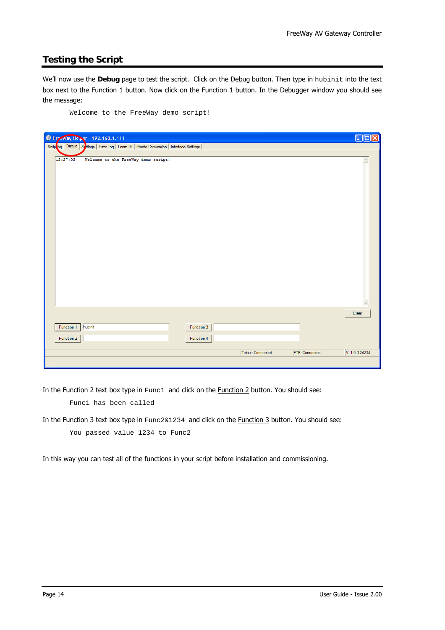### **Testing the Script**

We'll now use the **Debug** page to test the script. Click on the **Debug** button. Then type in hubinit into the text box next to the Function 1 button. Now click on the Function 1 button. In the Debugger window you should see the message:

|            | FreeWay Helper - 192.168.1.111                                                          |            |  | $\ \Box\ $ x<br>u, |
|------------|-----------------------------------------------------------------------------------------|------------|--|--------------------|
|            | Scripting Debug Strings   Error Log   Learn IR   Pronto Conversion   Interface Settings |            |  |                    |
| 12:27:03   | Welcome to the FreeWay demo script!                                                     |            |  | $\wedge$           |
|            |                                                                                         |            |  |                    |
|            |                                                                                         |            |  |                    |
|            |                                                                                         |            |  |                    |
|            |                                                                                         |            |  |                    |
|            |                                                                                         |            |  |                    |
|            |                                                                                         |            |  |                    |
|            |                                                                                         |            |  |                    |
|            |                                                                                         |            |  |                    |
|            |                                                                                         |            |  |                    |
|            |                                                                                         |            |  |                    |
|            |                                                                                         |            |  |                    |
|            |                                                                                         |            |  |                    |
|            |                                                                                         |            |  |                    |
|            |                                                                                         |            |  |                    |
|            |                                                                                         |            |  |                    |
|            |                                                                                         |            |  | Clear              |
|            |                                                                                         |            |  |                    |
|            |                                                                                         |            |  |                    |
| Function 1 | hubinit                                                                                 | Function 3 |  |                    |
| Function 2 |                                                                                         | Function 4 |  |                    |

Welcome to the FreeWay demo script!

In the Function 2 text box type in Func1 and click on the **Function 2** button. You should see:

Func1 has been called

In the Function 3 text box type in Func2&1234 and click on the Function 3 button. You should see:

You passed value 1234 to Func2

In this way you can test all of the functions in your script before installation and commissioning.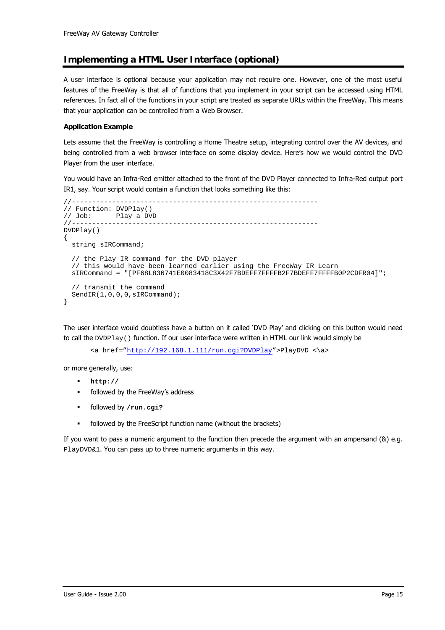## **Implementing a HTML User Interface (optional)**

A user interface is optional because your application may not require one. However, one of the most useful features of the FreeWay is that all of functions that you implement in your script can be accessed using HTML references. In fact all of the functions in your script are treated as separate URLs within the FreeWay. This means that your application can be controlled from a Web Browser.

### **Application Example**

Lets assume that the FreeWay is controlling a Home Theatre setup, integrating control over the AV devices, and being controlled from a web browser interface on some display device. Here's how we would control the DVD Player from the user interface.

You would have an Infra-Red emitter attached to the front of the DVD Player connected to Infra-Red output port IR1, say. Your script would contain a function that looks something like this:

```
//------------------------------------------------------------- 
// Function: DVDPlay()<br>// Job: Play a DV
// Job: Play a DVD
//------------------------------------------------------------- 
DVDPlay() 
{ 
   string sIRCommand; 
   // the Play IR command for the DVD player 
   // this would have been learned earlier using the FreeWay IR Learn 
   sIRCommand = "[PF68L836741E0083418C3X42F7BDEFF7FFFFB2F7BDEFF7FFFFB0P2CDFR04]"; 
   // transmit the command 
  SendIR(1,0,0,0,sIRCommand);
}
```
The user interface would doubtless have a button on it called 'DVD Play' and clicking on this button would need to call the  $DVDPlay()$  function. If our user interface were written in HTML our link would simply be

<a href="http://192.168.1.111/run.cgi?DVDPlay">PlayDVD <\a>

or more generally, use:

- **http://**
- **Fig. 4** followed by the FreeWay's address
- followed by **/run.cgi?**
- **followed by the FreeScript function name (without the brackets)**

If you want to pass a numeric argument to the function then precede the argument with an ampersand (&) e.g. PlayDVD&1. You can pass up to three numeric arguments in this way.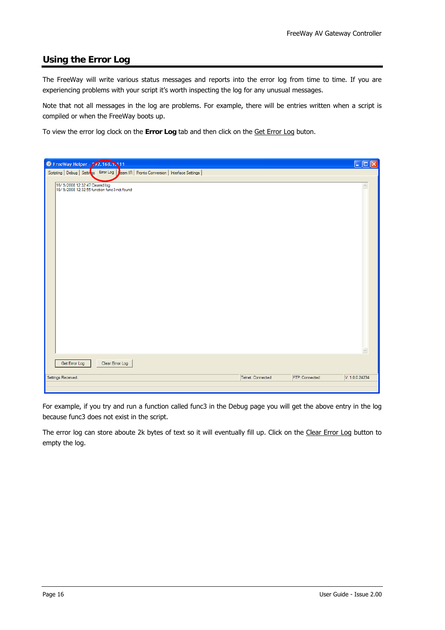### **Using the Error Log**

The FreeWay will write various status messages and reports into the error log from time to time. If you are experiencing problems with your script it's worth inspecting the log for any unusual messages.

Note that not all messages in the log are problems. For example, there will be entries written when a script is compiled or when the FreeWay boots up.

To view the error log clock on the **Error Log** tab and then click on the Get Error Log buton.

| <b>O</b> FreeWay Helper - 2.168. 111                                                        |                   |                | $\square$ ex   |
|---------------------------------------------------------------------------------------------|-------------------|----------------|----------------|
| Scripting   Debug   Settings   Error Log   Jeam IR   Pronto Conversion   Interface Settings |                   |                |                |
| 16/9/2008 12:32:47 Cleared log<br>16/9/2008 12:32:55 function func3 not found               |                   |                |                |
|                                                                                             |                   |                | $\checkmark$   |
| Get Error Log<br>Clear Error Log                                                            |                   |                |                |
| Settings Received.                                                                          | Telnet: Connected | FTP: Connected | V. 1.0.0.24234 |
|                                                                                             |                   |                |                |

For example, if you try and run a function called func3 in the Debug page you will get the above entry in the log because func3 does not exist in the script.

The error log can store aboute 2k bytes of text so it will eventually fill up. Click on the Clear Error Log button to empty the log.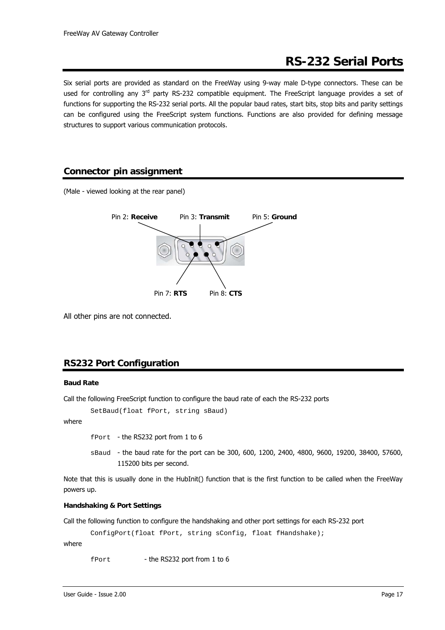# **RS-232 Serial Ports**

Six serial ports are provided as standard on the FreeWay using 9-way male D-type connectors. These can be used for controlling any 3<sup>rd</sup> party RS-232 compatible equipment. The FreeScript language provides a set of functions for supporting the RS-232 serial ports. All the popular baud rates, start bits, stop bits and parity settings can be configured using the FreeScript system functions. Functions are also provided for defining message structures to support various communication protocols.

### **Connector pin assignment**

(Male - viewed looking at the rear panel)



All other pins are not connected.

### **RS232 Port Configuration**

### **Baud Rate**

Call the following FreeScript function to configure the baud rate of each the RS-232 ports

SetBaud(float fPort, string sBaud)

where

fPort - the RS232 port from 1 to 6

sBaud - the baud rate for the port can be 300, 600, 1200, 2400, 4800, 9600, 19200, 38400, 57600, 115200 bits per second.

Note that this is usually done in the HubInit() function that is the first function to be called when the FreeWay powers up.

#### **Handshaking & Port Settings**

Call the following function to configure the handshaking and other port settings for each RS-232 port

```
ConfigPort(float fPort, string sConfig, float fHandshake);
```
where

fPort - the RS232 port from 1 to 6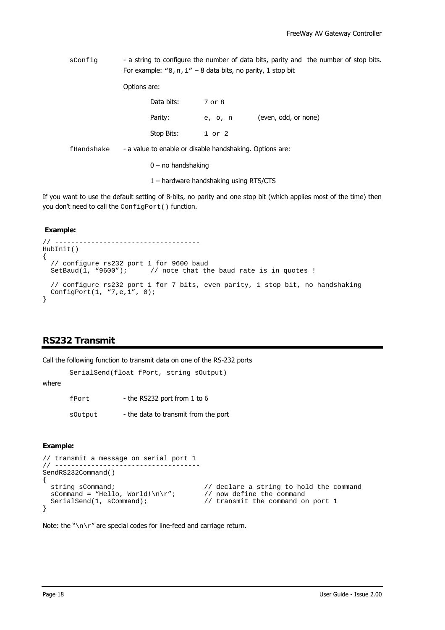$sConfig$  - a string to configure the number of data bits, parity and the number of stop bits. For example:  $``8, n, 1" - 8$  data bits, no parity, 1 stop bit Options are: Data bits: 7 or 8 Parity: e, o, n (even, odd, or none) Stop Bits: 1 or 2 fHandshake - a value to enable or disable handshaking. Options are: 0 – no handshaking 1 – hardware handshaking using RTS/CTS

If you want to use the default setting of 8-bits, no parity and one stop bit (which applies most of the time) then you don't need to call the ConfigPort() function.

#### **Example:**

```
// ------------------------------------ 
HubInit() 
{ 
  // configure rs232 port 1 for 9600 baud<br>SetBaud(1, "9600"); // note that the
                           // note that the baud rate is in quotes !
   // configure rs232 port 1 for 7 bits, even parity, 1 stop bit, no handshaking 
   ConfigPort(1, "7,e,1", 0); 
}
```
### **RS232 Transmit**

Call the following function to transmit data on one of the RS-232 ports

SerialSend(float fPort, string sOutput)

#### where

fPort - the RS232 port from 1 to 6 sOutput - the data to transmit from the port

#### **Example:**

```
// transmit a message on serial port 1 
// -----
SendRS232Command() 
{ 
  string sCommand;<br>sCommand = "Hello, World!\n\r"; // now define the command = "Hello, World!\n\r"; // now define the command
  sCommand = "Hello, World! \n\r'';
  SerialSend(1, sCommand); \frac{1}{2} // transmit the command on port 1
}
```
Note: the " $\ln \rightharpoonup r$ " are special codes for line-feed and carriage return.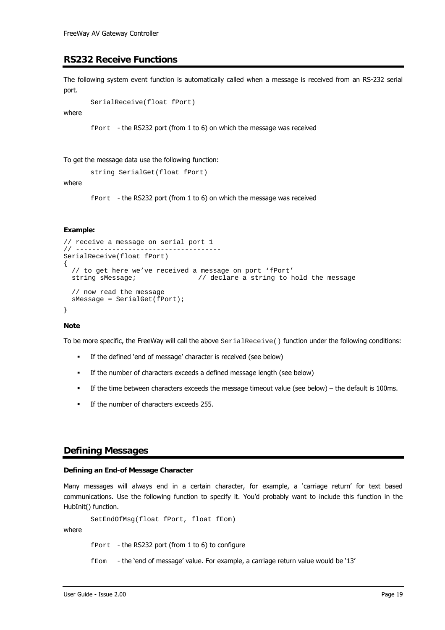### **RS232 Receive Functions**

The following system event function is automatically called when a message is received from an RS-232 serial port.

SerialReceive(float fPort)

where

fPort - the RS232 port (from 1 to 6) on which the message was received

To get the message data use the following function:

```
string SerialGet(float fPort)
```
where

fPort - the RS232 port (from 1 to 6) on which the message was received

#### **Example:**

```
// receive a message on serial port 1 
// ------------------------------------ 
SerialReceive(float fPort) 
{ 
  // to get here we've received a message on port 'fPort'<br>string sMessage; // declare a string to h
                                        // declare a string to hold the message
   // now read the message 
   sMessage = SerialGet(fPort); 
}
```
#### **Note**

To be more specific, the FreeWay will call the above SerialReceive() function under the following conditions:

- If the defined 'end of message' character is received (see below)
- If the number of characters exceeds a defined message length (see below)
- If the time between characters exceeds the message timeout value (see below) the default is 100ms.
- **If the number of characters exceeds 255.**

#### **Defining Messages**

#### **Defining an End-of Message Character**

Many messages will always end in a certain character, for example, a 'carriage return' for text based communications. Use the following function to specify it. You'd probably want to include this function in the HubInit() function.

SetEndOfMsg(float fPort, float fEom)

where

 $f$ Port - the RS232 port (from 1 to 6) to configure

fEom - the 'end of message' value. For example, a carriage return value would be '13'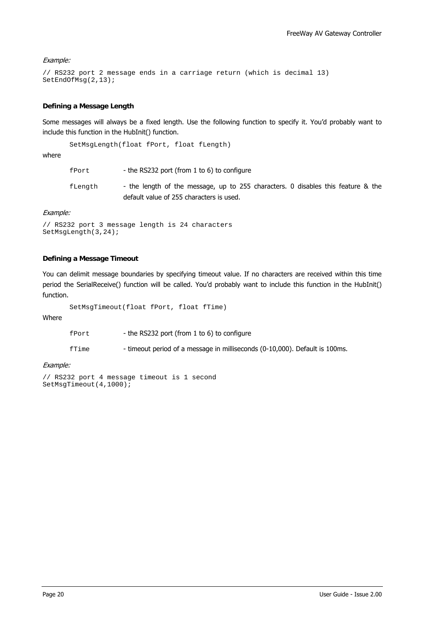Example:

```
// RS232 port 2 message ends in a carriage return (which is decimal 13) 
SetEndOfMsq(2,13);
```
#### **Defining a Message Length**

Some messages will always be a fixed length. Use the following function to specify it. You'd probably want to include this function in the HubInit() function.

SetMsgLength(float fPort, float fLength)

where

fPort - the RS232 port (from 1 to 6) to configure

 $f$ Length - the length of the message, up to 255 characters. 0 disables this feature & the default value of 255 characters is used.

Example:

```
// RS232 port 3 message length is 24 characters 
SetMsgLength(3,24);
```
#### **Defining a Message Timeout**

You can delimit message boundaries by specifying timeout value. If no characters are received within this time period the SerialReceive() function will be called. You'd probably want to include this function in the HubInit() function.

```
SetMsgTimeout(float fPort, float fTime)
```
Where

fPort - the RS232 port (from 1 to 6) to configure

fTime - timeout period of a message in milliseconds (0-10,000). Default is 100ms.

```
// RS232 port 4 message timeout is 1 second 
SetMsqTimeout(4,1000);
```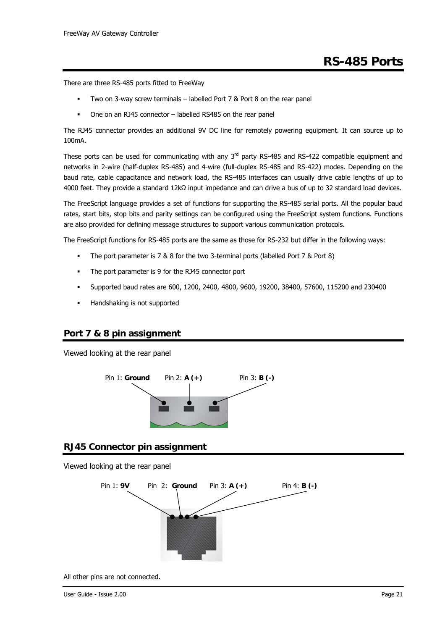There are three RS-485 ports fitted to FreeWay

- Two on 3-way screw terminals labelled Port 7 & Port 8 on the rear panel
- One on an RJ45 connector labelled RS485 on the rear panel

The RJ45 connector provides an additional 9V DC line for remotely powering equipment. It can source up to 100mA.

These ports can be used for communicating with any 3<sup>rd</sup> party RS-485 and RS-422 compatible equipment and networks in 2-wire (half-duplex RS-485) and 4-wire (full-duplex RS-485 and RS-422) modes. Depending on the baud rate, cable capacitance and network load, the RS-485 interfaces can usually drive cable lengths of up to 4000 feet. They provide a standard 12kΩ input impedance and can drive a bus of up to 32 standard load devices.

The FreeScript language provides a set of functions for supporting the RS-485 serial ports. All the popular baud rates, start bits, stop bits and parity settings can be configured using the FreeScript system functions. Functions are also provided for defining message structures to support various communication protocols.

The FreeScript functions for RS-485 ports are the same as those for RS-232 but differ in the following ways:

- The port parameter is 7 & 8 for the two 3-terminal ports (labelled Port 7 & Port 8)
- The port parameter is 9 for the RJ45 connector port
- Supported baud rates are 600, 1200, 2400, 4800, 9600, 19200, 38400, 57600, 115200 and 230400
- **Handshaking is not supported**

### **Port 7 & 8 pin assignment**

Viewed looking at the rear panel



### **RJ45 Connector pin assignment**

Viewed looking at the rear panel



All other pins are not connected.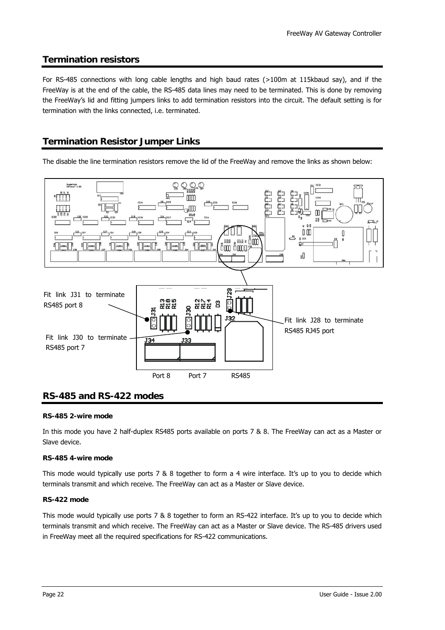# **Termination resistors**

For RS-485 connections with long cable lengths and high baud rates (>100m at 115kbaud say), and if the FreeWay is at the end of the cable, the RS-485 data lines may need to be terminated. This is done by removing the FreeWay's lid and fitting jumpers links to add termination resistors into the circuit. The default setting is for termination with the links connected, i.e. terminated.

# **Termination Resistor Jumper Links**

The disable the line termination resistors remove the lid of the FreeWay and remove the links as shown below:



### **RS-485 and RS-422 modes**

#### **RS-485 2-wire mode**

In this mode you have 2 half-duplex RS485 ports available on ports 7 & 8. The FreeWay can act as a Master or Slave device.

### **RS-485 4-wire mode**

This mode would typically use ports 7 & 8 together to form a 4 wire interface. It's up to you to decide which terminals transmit and which receive. The FreeWay can act as a Master or Slave device.

#### **RS-422 mode**

This mode would typically use ports 7 & 8 together to form an RS-422 interface. It's up to you to decide which terminals transmit and which receive. The FreeWay can act as a Master or Slave device. The RS-485 drivers used in FreeWay meet all the required specifications for RS-422 communications.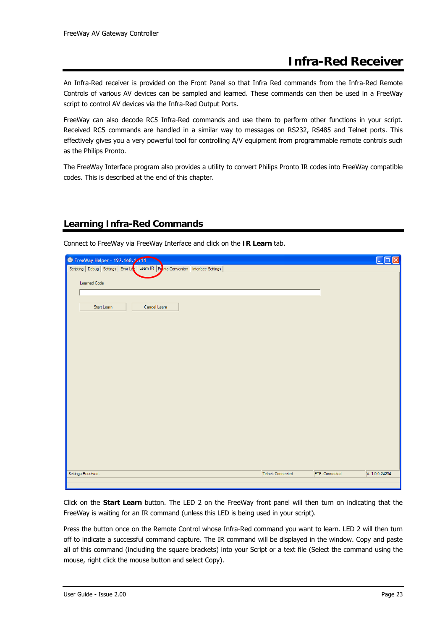# **Infra-Red Receiver**

An Infra-Red receiver is provided on the Front Panel so that Infra Red commands from the Infra-Red Remote Controls of various AV devices can be sampled and learned. These commands can then be used in a FreeWay script to control AV devices via the Infra-Red Output Ports.

FreeWay can also decode RC5 Infra-Red commands and use them to perform other functions in your script. Received RC5 commands are handled in a similar way to messages on RS232, RS485 and Telnet ports. This effectively gives you a very powerful tool for controlling A/V equipment from programmable remote controls such as the Philips Pronto.

The FreeWay Interface program also provides a utility to convert Philips Pronto IR codes into FreeWay compatible codes. This is described at the end of this chapter.

### **Learning Infra-Red Commands**

| Scripting   Debug   Settings   Error Long Leam IR   Pronto Conversion   Interface Settings  <br>Learned Code<br>Start Learn<br>Cancel Learn |                |                |
|---------------------------------------------------------------------------------------------------------------------------------------------|----------------|----------------|
|                                                                                                                                             |                |                |
|                                                                                                                                             |                |                |
|                                                                                                                                             |                |                |
|                                                                                                                                             |                |                |
|                                                                                                                                             |                |                |
|                                                                                                                                             |                |                |
|                                                                                                                                             |                |                |
|                                                                                                                                             |                |                |
| Telnet: Connected<br>Settings Received.                                                                                                     | FTP: Connected | V. 1.0.0.24234 |

Connect to FreeWay via FreeWay Interface and click on the **IR Learn** tab.

Click on the **Start Learn** button. The LED 2 on the FreeWay front panel will then turn on indicating that the FreeWay is waiting for an IR command (unless this LED is being used in your script).

Press the button once on the Remote Control whose Infra-Red command you want to learn. LED 2 will then turn off to indicate a successful command capture. The IR command will be displayed in the window. Copy and paste all of this command (including the square brackets) into your Script or a text file (Select the command using the mouse, right click the mouse button and select Copy).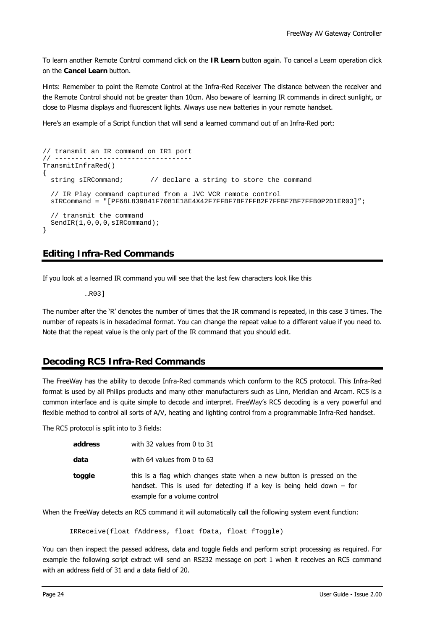To learn another Remote Control command click on the **IR Learn** button again. To cancel a Learn operation click on the **Cancel Learn** button.

Hints: Remember to point the Remote Control at the Infra-Red Receiver The distance between the receiver and the Remote Control should not be greater than 10cm. Also beware of learning IR commands in direct sunlight, or close to Plasma displays and fluorescent lights. Always use new batteries in your remote handset.

Here's an example of a Script function that will send a learned command out of an Infra-Red port:

```
// transmit an IR command on IR1 port 
// ---------------------------------- 
TransmitInfraRed() 
{<br>string sIRCommand;
                           // declare a string to store the command
   // IR Play command captured from a JVC VCR remote control 
  sIRCommand = "[PF68L839841F7081E18E4X42F7FFBF7BF7FFB2F7FFBF7BF7FFB0P2D1ER03]"; 
   // transmit the command 
 SendIR(1,0,0,0,sIRCommand);
}
```
### **Editing Infra-Red Commands**

If you look at a learned IR command you will see that the last few characters look like this

…R03]

The number after the 'R' denotes the number of times that the IR command is repeated, in this case 3 times. The number of repeats is in hexadecimal format. You can change the repeat value to a different value if you need to. Note that the repeat value is the only part of the IR command that you should edit.

### **Decoding RC5 Infra-Red Commands**

The FreeWay has the ability to decode Infra-Red commands which conform to the RC5 protocol. This Infra-Red format is used by all Philips products and many other manufacturers such as Linn, Meridian and Arcam. RC5 is a common interface and is quite simple to decode and interpret. FreeWay's RC5 decoding is a very powerful and flexible method to control all sorts of A/V, heating and lighting control from a programmable Infra-Red handset.

The RC5 protocol is split into to 3 fields:

| address | with 32 values from 0 to 31                                                                                                                                                       |
|---------|-----------------------------------------------------------------------------------------------------------------------------------------------------------------------------------|
| data    | with 64 values from 0 to 63                                                                                                                                                       |
| toggle  | this is a flag which changes state when a new button is pressed on the<br>handset. This is used for detecting if a key is being held down $-$ for<br>example for a volume control |

When the FreeWay detects an RC5 command it will automatically call the following system event function:

IRReceive(float fAddress, float fData, float fToggle)

You can then inspect the passed address, data and toggle fields and perform script processing as required. For example the following script extract will send an RS232 message on port 1 when it receives an RC5 command with an address field of 31 and a data field of 20.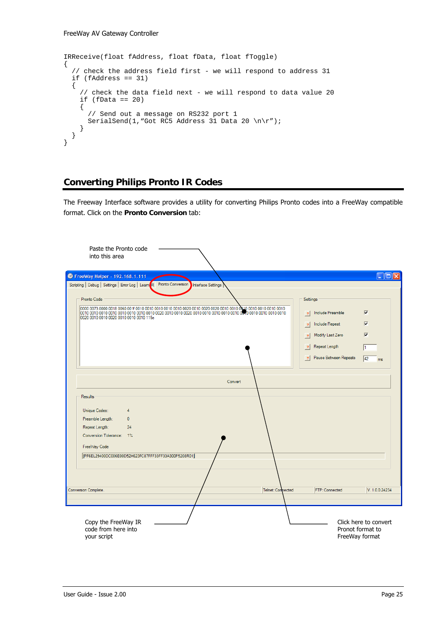#### FreeWay AV Gateway Controller

```
IRReceive(float fAddress, float fData, float fToggle) 
{ 
  // check the address field first - we will respond to address 31 
  if (fAddress == 31) 
   { 
 // check the data field next - we will respond to data value 20 
 if (fData == 20) 
    { 
 // Send out a message on RS232 port 1 
SerialSend(1, "Got RC5 Address 31 Data 20 \n\r");
    } 
  } 
}
```
## **Converting Philips Pronto IR Codes**

The Freeway Interface software provides a utility for converting Philips Pronto codes into a FreeWay compatible format. Click on the **Pronto Conversion** tab:

| Paste the Pronto code<br>into this area                                                                                                                                                                                                                                   |                                                             |
|---------------------------------------------------------------------------------------------------------------------------------------------------------------------------------------------------------------------------------------------------------------------------|-------------------------------------------------------------|
| <b>O</b> FreeWay Helper - 192.168.1.111                                                                                                                                                                                                                                   | $\Box$ $\Box$                                               |
| Scripting   Debug   Settings   Error Log   Leam R Pronto Conversion   Interface Settings                                                                                                                                                                                  |                                                             |
|                                                                                                                                                                                                                                                                           |                                                             |
| Pronto Code                                                                                                                                                                                                                                                               | Settings                                                    |
| 0000 0073 0000 0018 0060 001f 0010 0010 0010 0010 0010 0020 0010 0020 0020 0010 0010 0010 0010 0010 0010 0010<br>0010 0010 0010 0010 0010 0010 0010 0010 0020 0010 0010 0020 0010 0010 0010 0010 0010 0010 0010 0010 0010 0010<br>0020 0010 0010 0020 0010 0010 0010 115e | $\overline{v}$<br>Include Preamble<br>$\overline{?}$        |
|                                                                                                                                                                                                                                                                           | $\overline{v}$<br>Include Repeat<br>$\overline{?}$          |
|                                                                                                                                                                                                                                                                           | $\overline{V}$<br>Modify Last Zero<br>$\vert$               |
|                                                                                                                                                                                                                                                                           | Repeat Length<br>$\overline{2}$<br>l1                       |
|                                                                                                                                                                                                                                                                           | Pause Between Repeats<br>$\overline{2}$<br>42               |
|                                                                                                                                                                                                                                                                           | ms                                                          |
|                                                                                                                                                                                                                                                                           |                                                             |
| Convert                                                                                                                                                                                                                                                                   |                                                             |
| <b>Results</b>                                                                                                                                                                                                                                                            |                                                             |
|                                                                                                                                                                                                                                                                           |                                                             |
| Unique Codes:<br>$\overline{4}$                                                                                                                                                                                                                                           |                                                             |
| Preamble Length:<br>$\Omega$                                                                                                                                                                                                                                              |                                                             |
| Repeat Length:<br>24                                                                                                                                                                                                                                                      |                                                             |
| Conversion Tolerance: 1%                                                                                                                                                                                                                                                  |                                                             |
| FreeWay Code                                                                                                                                                                                                                                                              |                                                             |
| [PF6EL29400DC006E00D52X623FC87FFF33FF33A300P5208R01]                                                                                                                                                                                                                      |                                                             |
|                                                                                                                                                                                                                                                                           |                                                             |
|                                                                                                                                                                                                                                                                           |                                                             |
| Conversion Complete.                                                                                                                                                                                                                                                      | FTP: Connected<br>V. 1.0.0.24234<br>Telnet: Connected       |
|                                                                                                                                                                                                                                                                           |                                                             |
|                                                                                                                                                                                                                                                                           |                                                             |
| Copy the FreeWay IR<br>code from here into<br>your script                                                                                                                                                                                                                 | Click here to convert<br>Pronot format to<br>FreeWay format |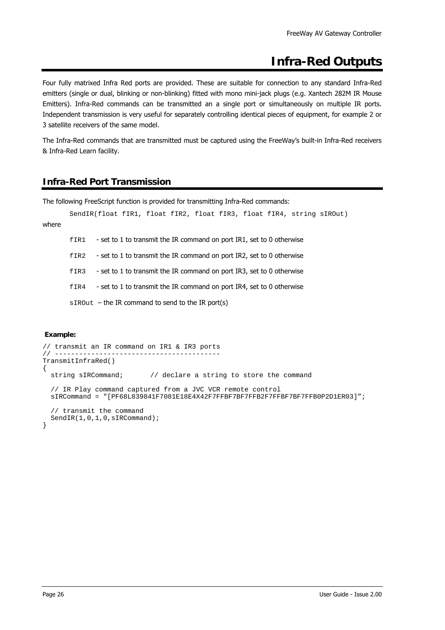# **Infra-Red Outputs**

Four fully matrixed Infra Red ports are provided. These are suitable for connection to any standard Infra-Red emitters (single or dual, blinking or non-blinking) fitted with mono mini-jack plugs (e.g. Xantech 282M IR Mouse Emitters). Infra-Red commands can be transmitted an a single port or simultaneously on multiple IR ports. Independent transmission is very useful for separately controlling identical pieces of equipment, for example 2 or 3 satellite receivers of the same model.

The Infra-Red commands that are transmitted must be captured using the FreeWay's built-in Infra-Red receivers & Infra-Red Learn facility.

### **Infra-Red Port Transmission**

The following FreeScript function is provided for transmitting Infra-Red commands:

```
SendIR(float fIR1, float fIR2, float fIR3, float fIR4, string sIROut)
```
where

| fIR1 | - set to 1 to transmit the IR command on port IR1, set to 0 otherwise |
|------|-----------------------------------------------------------------------|
| fIR2 | - set to 1 to transmit the IR command on port IR2, set to 0 otherwise |
| fIR3 | - set to 1 to transmit the IR command on port IR3, set to 0 otherwise |
| fIR4 | - set to 1 to transmit the IR command on port IR4, set to 0 otherwise |
|      | $s$ IROut - the IR command to send to the IR port(s)                  |

```
// transmit an IR command on IR1 & IR3 ports 
// ----------------------------------------- 
TransmitInfraRed() 
{ 
  string sIRCommand; \frac{1}{2} declare a string to store the command
   // IR Play command captured from a JVC VCR remote control 
  sIRCommand = "[PF68L839841F7081E18E4X42F7FFBF7BF7FFB2F7FFBF7BF7FFB0P2D1ER03]"; 
   // transmit the command 
  SendIR(1,0,1,0,sIRCommand);
}
```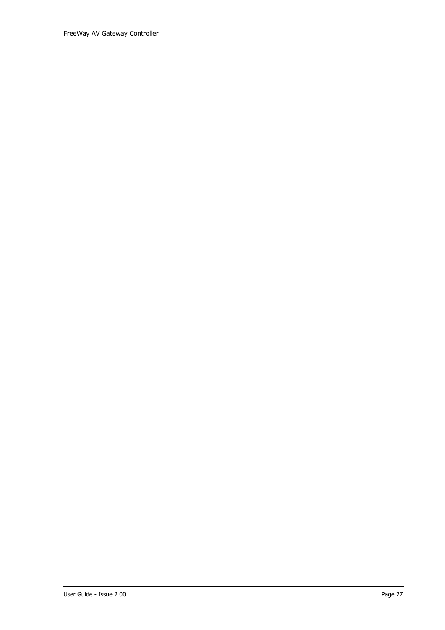FreeWay AV Gateway Controller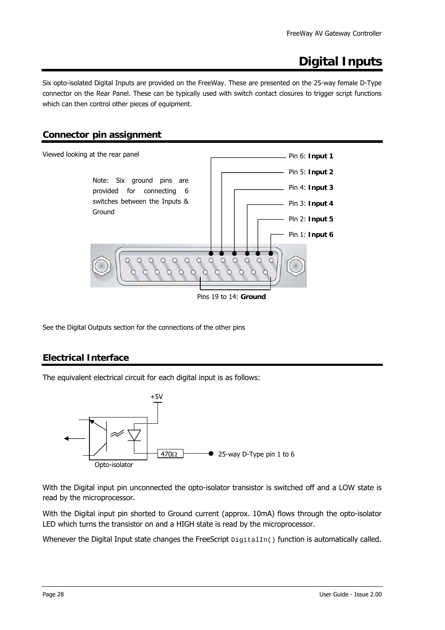# **Digital Inputs**

Six opto-isolated Digital Inputs are provided on the FreeWay. These are presented on the 25-way female D-Type connector on the Rear Panel. These can be typically used with switch contact closures to trigger script functions which can then control other pieces of equipment.

## **Connector pin assignment**



Pins 19 to 14: **Ground**

See the Digital Outputs section for the connections of the other pins

# **Electrical Interface**

The equivalent electrical circuit for each digital input is as follows:



With the Digital input pin unconnected the opto-isolator transistor is switched off and a LOW state is read by the microprocessor.

With the Digital input pin shorted to Ground current (approx. 10mA) flows through the opto-isolator LED which turns the transistor on and a HIGH state is read by the microprocessor.

Whenever the Digital Input state changes the FreeScript  $\text{digital}()$  function is automatically called.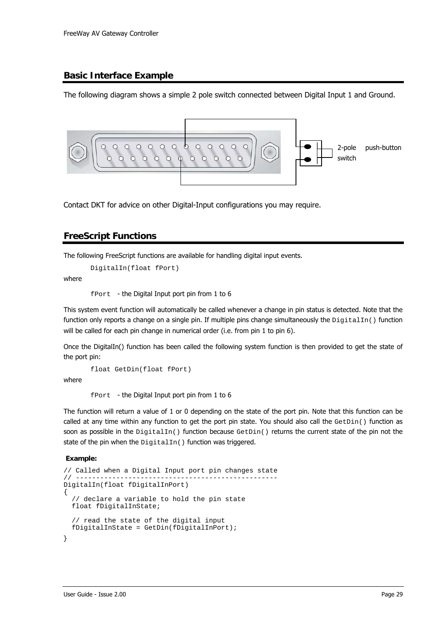### **Basic Interface Example**

The following diagram shows a simple 2 pole switch connected between Digital Input 1 and Ground.



Contact DKT for advice on other Digital-Input configurations you may require.

# **FreeScript Functions**

The following FreeScript functions are available for handling digital input events.

```
DigitalIn(float fPort)
```
where

```
fPort - the Digital Input port pin from 1 to 6
```
This system event function will automatically be called whenever a change in pin status is detected. Note that the function only reports a change on a single pin. If multiple pins change simultaneously the DigitalIn() function will be called for each pin change in numerical order (i.e. from pin 1 to pin 6).

Once the DigitalIn() function has been called the following system function is then provided to get the state of the port pin:

```
float GetDin(float fPort)
```
where

fPort - the Digital Input port pin from 1 to 6

The function will return a value of 1 or 0 depending on the state of the port pin. Note that this function can be called at any time within any function to get the port pin state. You should also call the GetDin() function as soon as possible in the DigitalIn() function because GetDin() returns the current state of the pin not the state of the pin when the DigitalIn() function was triggered.

```
// Called when a Digital Input port pin changes state 
// -------------------------------------------------- 
DigitalIn(float fDigitalInPort) 
{ 
    // declare a variable to hold the pin state 
   float fDigitalInState; 
   // read the state of the digital input 
   fDigitalInState = GetDin(fDigitalInPort); 
}
```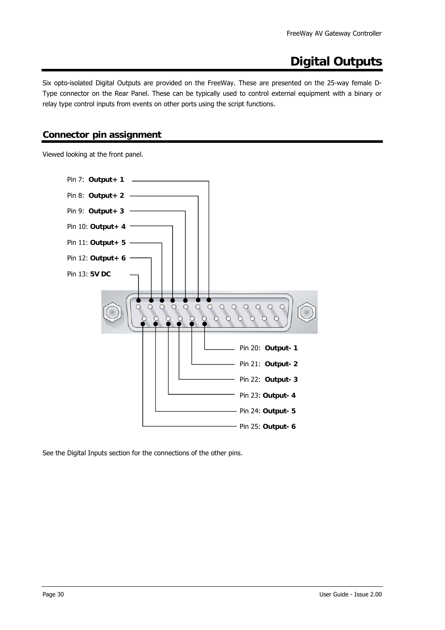# **Digital Outputs**

Six opto-isolated Digital Outputs are provided on the FreeWay. These are presented on the 25-way female D-Type connector on the Rear Panel. These can be typically used to control external equipment with a binary or relay type control inputs from events on other ports using the script functions.

## **Connector pin assignment**

Viewed looking at the front panel.



See the Digital Inputs section for the connections of the other pins.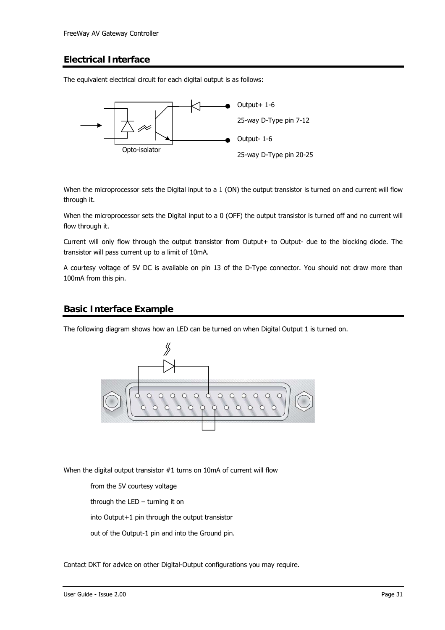# **Electrical Interface**

The equivalent electrical circuit for each digital output is as follows:



When the microprocessor sets the Digital input to a 1 (ON) the output transistor is turned on and current will flow through it.

When the microprocessor sets the Digital input to a 0 (OFF) the output transistor is turned off and no current will flow through it.

Current will only flow through the output transistor from Output+ to Output- due to the blocking diode. The transistor will pass current up to a limit of 10mA.

A courtesy voltage of 5V DC is available on pin 13 of the D-Type connector. You should not draw more than 100mA from this pin.

### **Basic Interface Example**

The following diagram shows how an LED can be turned on when Digital Output 1 is turned on.



When the digital output transistor #1 turns on 10mA of current will flow

from the 5V courtesy voltage

through the LED – turning it on

into Output+1 pin through the output transistor

out of the Output-1 pin and into the Ground pin.

Contact DKT for advice on other Digital-Output configurations you may require.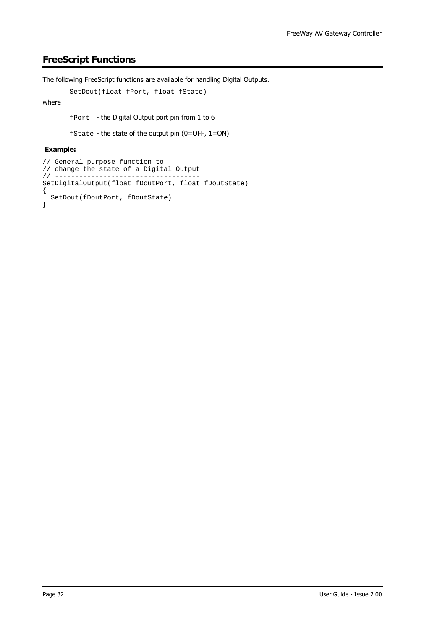## **FreeScript Functions**

The following FreeScript functions are available for handling Digital Outputs.

SetDout(float fPort, float fState)

### where

fPort - the Digital Output port pin from 1 to 6

fState - the state of the output pin (0=OFF, 1=ON)

```
// General purpose function to 
// change the state of a Digital Output 
   // ------------------------------------ 
SetDigitalOutput(float fDoutPort, float fDoutState) 
{ 
   SetDout(fDoutPort, fDoutState) 
}
```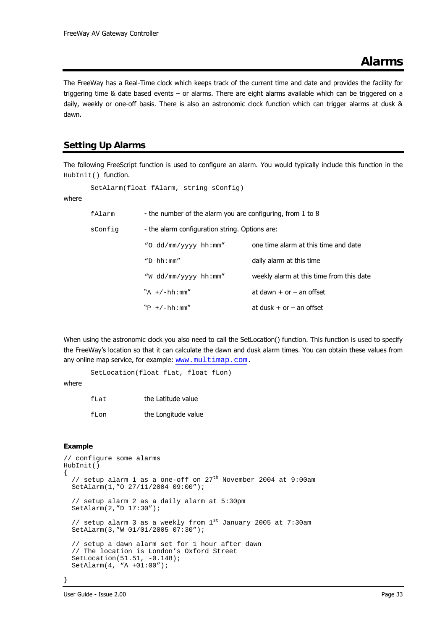The FreeWay has a Real-Time clock which keeps track of the current time and date and provides the facility for triggering time & date based events – or alarms. There are eight alarms available which can be triggered on a daily, weekly or one-off basis. There is also an astronomic clock function which can trigger alarms at dusk & dawn.

## **Setting Up Alarms**

The following FreeScript function is used to configure an alarm. You would typically include this function in the HubInit() function.

```
SetAlarm(float fAlarm, string sConfig)
```
where

| fAlarm  | - the number of the alarm you are configuring, from 1 to 8 |                                          |
|---------|------------------------------------------------------------|------------------------------------------|
| sConfig | - the alarm configuration string. Options are:             |                                          |
|         | "O dd/mm/yyyy hh:mm"                                       | one time alarm at this time and date     |
|         | "D hh:mm"                                                  | daily alarm at this time                 |
|         | "W dd/mm/yyyy hh:mm"                                       | weekly alarm at this time from this date |
|         | $"A +/-hh :mm"$                                            | at dawn $+$ or $-$ an offset             |
|         | $"P$ +/-hh: mm"                                            | at dusk $+$ or $-$ an offset             |

When using the astronomic clock you also need to call the SetLocation() function. This function is used to specify the FreeWay's location so that it can calculate the dawn and dusk alarm times. You can obtain these values from any online map service, for example: www.multimap.com.

SetLocation(float fLat, float fLon)

#### where

| fLat | the Latitude value  |  |
|------|---------------------|--|
| fLon | the Longitude value |  |

```
// configure some alarms 
HubInit() 
{ 
  // setup alarm 1 as a one-off on 27<sup>th</sup> November 2004 at 9:00am
   SetAlarm(1,"O 27/11/2004 09:00"); 
   // setup alarm 2 as a daily alarm at 5:30pm 
   SetAlarm(2,"D 17:30"); 
  // setup alarm 3 as a weekly from 1^{st} January 2005 at 7:30am
   SetAlarm(3,"W 01/01/2005 07:30"); 
   // setup a dawn alarm set for 1 hour after dawn 
   // The location is London's Oxford Street 
  SetLocation(51.51, -0.148);
   SetAlarm(4, "A +01:00");
```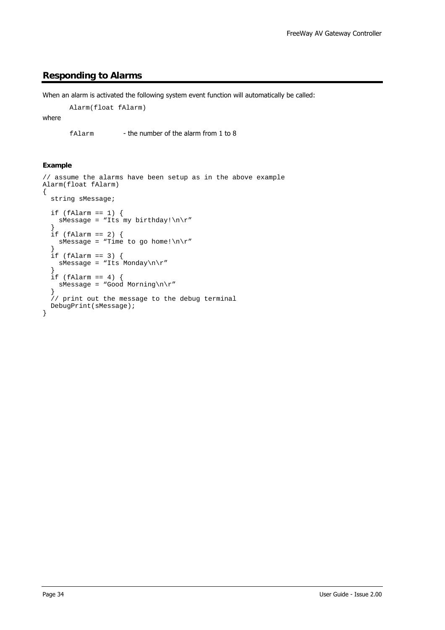# **Responding to Alarms**

When an alarm is activated the following system event function will automatically be called:

```
Alarm(float fAlarm)
```
where

fAlarm - the number of the alarm from 1 to 8

```
// assume the alarms have been setup as in the above example 
Alarm(float fAlarm) 
{ 
   string sMessage; 
 if (fAlarm == 1) { 
 sMessage = "Its my birthday!\n\r" 
 } 
  if (fAlarm == 2) \{sMessage = "Time to go home!\n\r"
 } 
 if (fAlarm == 3) { 
 sMessage = "Its Monday\n\r" 
 } 
  if (fAlarm == 4) {
   sMessage = "Good Morning\n\r"
 } 
 // print out the message to the debug terminal 
  DebugPrint(sMessage); 
}
```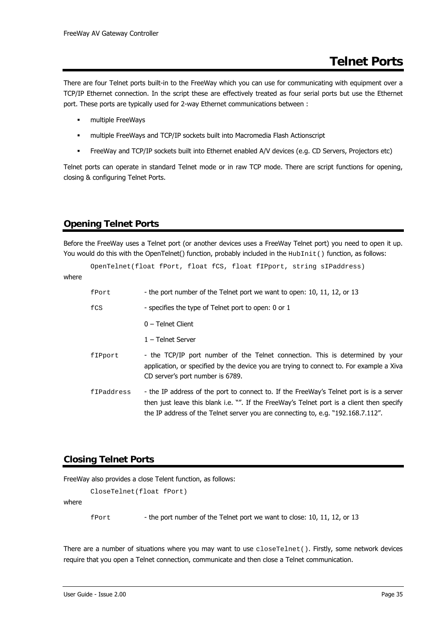There are four Telnet ports built-in to the FreeWay which you can use for communicating with equipment over a TCP/IP Ethernet connection. In the script these are effectively treated as four serial ports but use the Ethernet port. These ports are typically used for 2-way Ethernet communications between :

- multiple FreeWays
- multiple FreeWays and TCP/IP sockets built into Macromedia Flash Actionscript
- FreeWay and TCP/IP sockets built into Ethernet enabled A/V devices (e.g. CD Servers, Projectors etc)

Telnet ports can operate in standard Telnet mode or in raw TCP mode. There are script functions for opening, closing & configuring Telnet Ports.

# **Opening Telnet Ports**

Before the FreeWay uses a Telnet port (or another devices uses a FreeWay Telnet port) you need to open it up. You would do this with the OpenTelnet() function, probably included in the HubInit() function, as follows:

OpenTelnet(float fPort, float fCS, float fIPport, string sIPaddress)

where

| fPort      | - the port number of the Telnet port we want to open: 10, 11, 12, or 13                                                                                                                                                                                                  |
|------------|--------------------------------------------------------------------------------------------------------------------------------------------------------------------------------------------------------------------------------------------------------------------------|
| fCS        | - specifies the type of Telnet port to open: 0 or 1                                                                                                                                                                                                                      |
|            | $0$ – Telnet Client                                                                                                                                                                                                                                                      |
|            | $1$ – Telnet Server                                                                                                                                                                                                                                                      |
| fIPport    | - the TCP/IP port number of the Telnet connection. This is determined by your<br>application, or specified by the device you are trying to connect to. For example a Xiva<br>CD server's port number is 6789.                                                            |
| fIPaddress | - the IP address of the port to connect to. If the FreeWay's Telnet port is is a server<br>then just leave this blank i.e. "". If the FreeWay's Telnet port is a client then specify<br>the IP address of the Telnet server you are connecting to, e.g. "192.168.7.112". |

### **Closing Telnet Ports**

FreeWay also provides a close Telent function, as follows:

```
CloseTelnet(float fPort)
```
where

f Port - the port number of the Telnet port we want to close: 10, 11, 12, or 13

There are a number of situations where you may want to use closeTelnet(). Firstly, some network devices require that you open a Telnet connection, communicate and then close a Telnet communication.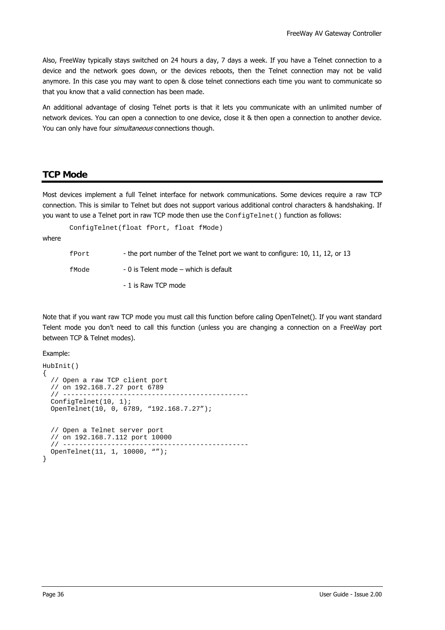Also, FreeWay typically stays switched on 24 hours a day, 7 days a week. If you have a Telnet connection to a device and the network goes down, or the devices reboots, then the Telnet connection may not be valid anymore. In this case you may want to open & close telnet connections each time you want to communicate so that you know that a valid connection has been made.

An additional advantage of closing Telnet ports is that it lets you communicate with an unlimited number of network devices. You can open a connection to one device, close it & then open a connection to another device. You can only have four *simultaneous* connections though.

### **TCP Mode**

Most devices implement a full Telnet interface for network communications. Some devices require a raw TCP connection. This is similar to Telnet but does not support various additional control characters & handshaking. If you want to use a Telnet port in raw TCP mode then use the  $\text{configTelnet}()$  function as follows:

```
ConfigTelnet(float fPort, float fMode)
```
where

f Port - the port number of the Telnet port we want to configure: 10, 11, 12, or 13 fMode - 0 is Telent mode – which is default - 1 is Raw TCP mode

Note that if you want raw TCP mode you must call this function before caling OpenTelnet(). If you want standard Telent mode you don't need to call this function (unless you are changing a connection on a FreeWay port between TCP & Telnet modes).

```
HubInit() 
{ 
   // Open a raw TCP client port 
   // on 192.168.7.27 port 6789 
   // ---------------------------------------------- 
   ConfigTelnet(10, 1); 
   OpenTelnet(10, 0, 6789, "192.168.7.27"); 
   // Open a Telnet server port 
  // on 192.168.7.112 port 10000<br>// --------------------------
                                               // ---------------------------------------------- 
   OpenTelnet(11, 1, 10000, ""); 
}
```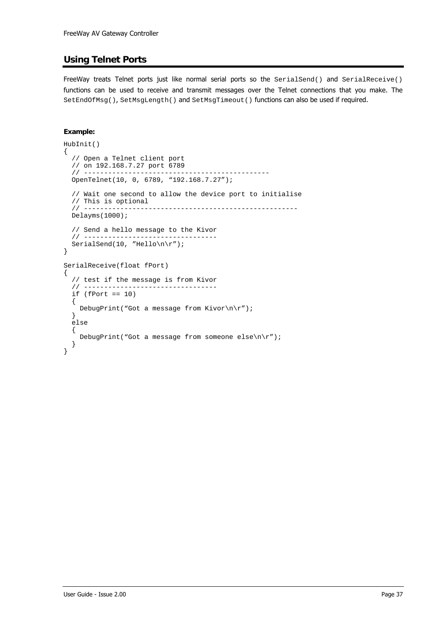# **Using Telnet Ports**

FreeWay treats Telnet ports just like normal serial ports so the SerialSend() and SerialReceive() functions can be used to receive and transmit messages over the Telnet connections that you make. The SetEndOfMsg(), SetMsgLength() and SetMsgTimeout() functions can also be used if required.

```
HubInit() 
{ 
   // Open a Telnet client port 
  // on 192.168.7.27 port 6789<br>// ------------------------
 // ---------------------------------------------- 
 OpenTelnet(10, 0, 6789, "192.168.7.27"); 
   // Wait one second to allow the device port to initialise 
  // This is optional<br>// -----------------
                                  // ----------------------------------------------------- 
   Delayms(1000); 
   // Send a hello message to the Kivor 
   // --------------------------------- 
  SerialSend(10, "Hello\n\r");
} 
SerialReceive(float fPort) 
\{ // test if the message is from Kivor 
   // --------------------------------- 
  if (fPort == 10) { 
    DebugPrint("Got a message from Kivor\n\r");
   } 
   else 
   { 
    DebugPrint("Got a message from someone else\n\r");
   } 
}
```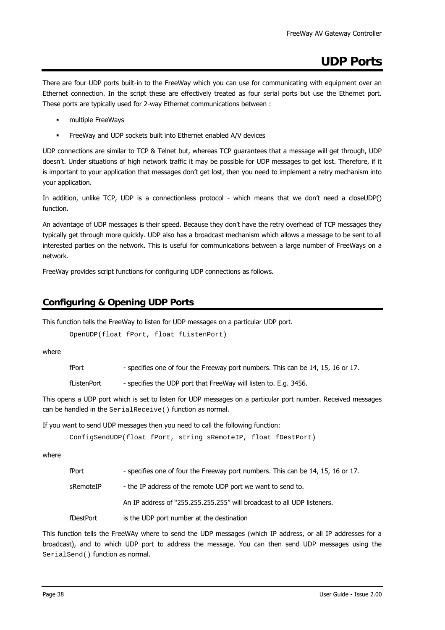# **UDP Ports**

There are four UDP ports built-in to the FreeWay which you can use for communicating with equipment over an Ethernet connection. In the script these are effectively treated as four serial ports but use the Ethernet port. These ports are typically used for 2-way Ethernet communications between :

- multiple FreeWays
- **FIGE A.5** FreeWay and UDP sockets built into Ethernet enabled A/V devices

UDP connections are similar to TCP & Telnet but, whereas TCP guarantees that a message will get through, UDP doesn't. Under situations of high network traffic it may be possible for UDP messages to get lost. Therefore, if it is important to your application that messages don't get lost, then you need to implement a retry mechanism into your application.

In addition, unlike TCP, UDP is a connectionless protocol - which means that we don't need a closeUDP() function.

An advantage of UDP messages is their speed. Because they don't have the retry overhead of TCP messages they typically get through more quickly. UDP also has a broadcast mechanism which allows a message to be sent to all interested parties on the network. This is useful for communications between a large number of FreeWays on a network.

FreeWay provides script functions for configuring UDP connections as follows.

### **Configuring & Opening UDP Ports**

This function tells the FreeWay to listen for UDP messages on a particular UDP port.

OpenUDP(float fPort, float fListenPort)

where

fPort - specifies one of four the Freeway port numbers. This can be 14, 15, 16 or 17.

fListenPort - specifies the UDP port that FreeWay will listen to. E.g. 3456.

This opens a UDP port which is set to listen for UDP messages on a particular port number. Received messages can be handled in the SerialReceive() function as normal.

If you want to send UDP messages then you need to call the following function:

ConfigSendUDP(float fPort, string sRemoteIP, float fDestPort)

where

| fPort     | - specifies one of four the Freeway port numbers. This can be 14, 15, 16 or 17. |
|-----------|---------------------------------------------------------------------------------|
| sRemoteIP | - the IP address of the remote UDP port we want to send to.                     |
|           | An IP address of "255.255.255.255" will broadcast to all UDP listeners.         |
| fDestPort | is the UDP port number at the destination                                       |

This function tells the FreeWAy where to send the UDP messages (which IP address, or all IP addresses for a broadcast), and to which UDP port to address the message. You can then send UDP messages using the SerialSend() function as normal.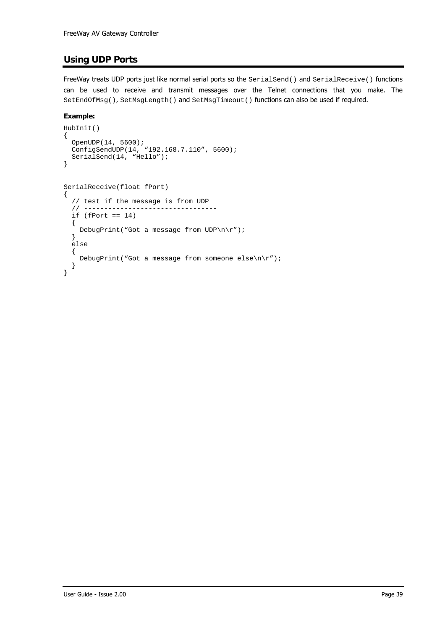# **Using UDP Ports**

FreeWay treats UDP ports just like normal serial ports so the SerialSend() and SerialReceive() functions can be used to receive and transmit messages over the Telnet connections that you make. The SetEndOfMsg(), SetMsgLength() and SetMsgTimeout() functions can also be used if required.

```
HubInit() 
{ 
   OpenUDP(14, 5600); 
   ConfigSendUDP(14, "192.168.7.110", 5600); 
 SerialSend(14, "Hello");
} 
SerialReceive(float fPort) 
\{ // test if the message is from UDP 
   // --------------------------------- 
  if (fPort == 14) { 
   DebugPrint("Got a message from UDP\n\r'');
   } 
   else 
   { 
    DebugPrint("Got a message from someone else\n\r");
   } 
}
```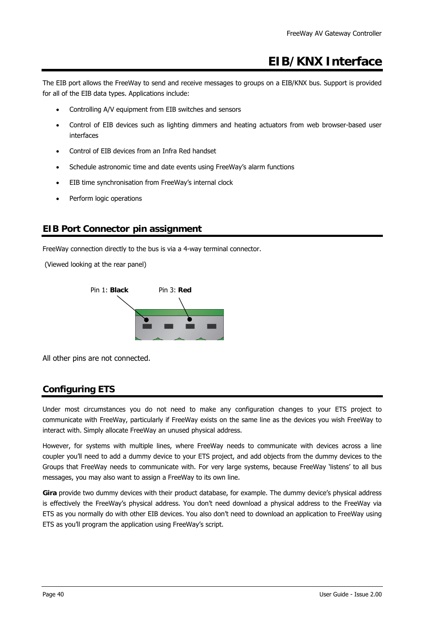# **EIB/KNX Interface**

The EIB port allows the FreeWay to send and receive messages to groups on a EIB/KNX bus. Support is provided for all of the EIB data types. Applications include:

- Controlling A/V equipment from EIB switches and sensors
- Control of EIB devices such as lighting dimmers and heating actuators from web browser-based user interfaces
- Control of EIB devices from an Infra Red handset
- Schedule astronomic time and date events using FreeWay's alarm functions
- EIB time synchronisation from FreeWay's internal clock
- Perform logic operations

### **EIB Port Connector pin assignment**

FreeWay connection directly to the bus is via a 4-way terminal connector.

(Viewed looking at the rear panel)



All other pins are not connected.

# **Configuring ETS**

Under most circumstances you do not need to make any configuration changes to your ETS project to communicate with FreeWay, particularly if FreeWay exists on the same line as the devices you wish FreeWay to interact with. Simply allocate FreeWay an unused physical address.

However, for systems with multiple lines, where FreeWay needs to communicate with devices across a line coupler you'll need to add a dummy device to your ETS project, and add objects from the dummy devices to the Groups that FreeWay needs to communicate with. For very large systems, because FreeWay 'listens' to all bus messages, you may also want to assign a FreeWay to its own line.

**Gira** provide two dummy devices with their product database, for example. The dummy device's physical address is effectively the FreeWay's physical address. You don't need download a physical address to the FreeWay via ETS as you normally do with other EIB devices. You also don't need to download an application to FreeWay using ETS as you'll program the application using FreeWay's script.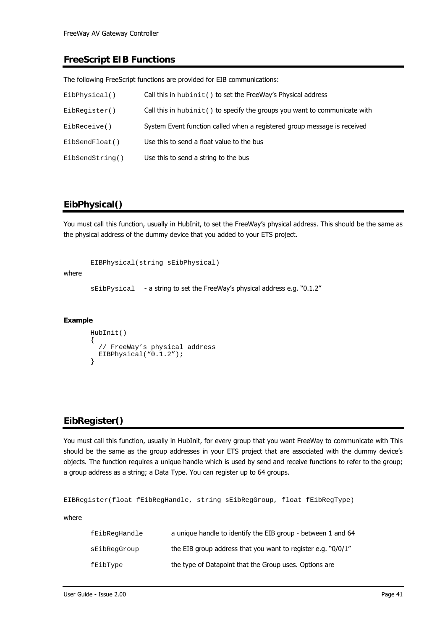### **FreeScript EIB Functions**

The following FreeScript functions are provided for EIB communications:

| EibPhysical()   | Call this in $hubit()$ to set the FreeWay's Physical address                |
|-----------------|-----------------------------------------------------------------------------|
| EibRegister()   | Call this in $hubinit()$ to specify the groups you want to communicate with |
| EibReceive()    | System Event function called when a registered group message is received    |
| EibSendFloat()  | Use this to send a float value to the bus                                   |
| EibSendString() | Use this to send a string to the bus                                        |

### **EibPhysical()**

You must call this function, usually in HubInit, to set the FreeWay's physical address. This should be the same as the physical address of the dummy device that you added to your ETS project.

EIBPhysical(string sEibPhysical)

#### where

sEibPysical - a string to set the FreeWay's physical address e.g. "0.1.2"

#### **Example**

```
HubInit() 
\{ // FreeWay's physical address 
   EIBPhysical("0.1.2"); 
}
```
### **EibRegister()**

You must call this function, usually in HubInit, for every group that you want FreeWay to communicate with This should be the same as the group addresses in your ETS project that are associated with the dummy device's objects. The function requires a unique handle which is used by send and receive functions to refer to the group; a group address as a string; a Data Type. You can register up to 64 groups.

EIBRegister(float fEibRegHandle, string sEibRegGroup, float fEibRegType)

where

| fEibReqHandle | a unique handle to identify the EIB group - between 1 and 64 |
|---------------|--------------------------------------------------------------|
| sEibReqGroup  | the EIB group address that you want to register e.g. "0/0/1" |
| fEibType      | the type of Datapoint that the Group uses. Options are       |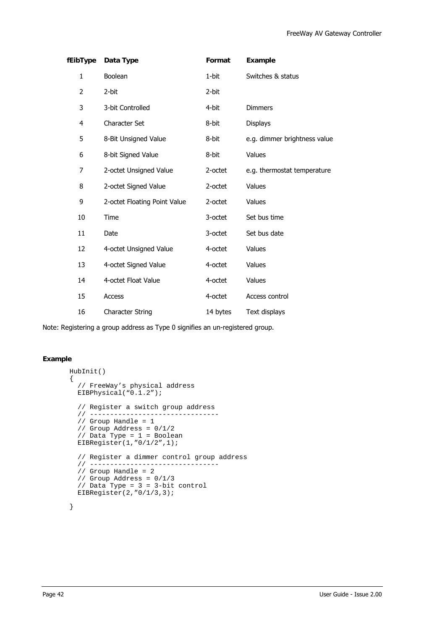| fEibType     | Data Type                    | Format   | Example                      |
|--------------|------------------------------|----------|------------------------------|
| $\mathbf{1}$ | Boolean                      | 1-bit    | Switches & status            |
| 2            | 2-bit                        | 2-bit    |                              |
| 3            | 3-bit Controlled             | 4-bit    | <b>Dimmers</b>               |
| 4            | <b>Character Set</b>         | 8-bit    | <b>Displays</b>              |
| 5            | 8-Bit Unsigned Value         | 8-bit    | e.g. dimmer brightness value |
| 6            | 8-bit Signed Value           | 8-bit    | Values                       |
| 7            | 2-octet Unsigned Value       | 2-octet  | e.g. thermostat temperature  |
| 8            | 2-octet Signed Value         | 2-octet  | Values                       |
| 9            | 2-octet Floating Point Value | 2-octet  | Values                       |
| 10           | Time                         | 3-octet  | Set bus time                 |
| 11           | Date                         | 3-octet  | Set bus date                 |
| 12           | 4-octet Unsigned Value       | 4-octet  | Values                       |
| 13           | 4-octet Signed Value         | 4-octet  | Values                       |
| 14           | 4-octet Float Value          | 4-octet  | Values                       |
| 15           | Access                       | 4-octet  | Access control               |
| 16           | <b>Character String</b>      | 14 bytes | Text displays                |

Note: Registering a group address as Type 0 signifies an un-registered group.

```
HubInit() 
{ 
   // FreeWay's physical address 
  EIBPhysical("0.1.2");
   // Register a switch group address 
   // -------------------------------- 
 // Group Handle = 1 
 // Group Address = 0/1/2 
 // Data Type = 1 = Boolean 
 EIBRegister(1,"0/1/2",1); 
  // Register a dimmer control group address<br>// ------------------------------
 // -------------------------------- 
 // Group Handle = 2 
 // Group Address = 0/1/3 
   // Data Type = 3 = 3-bit control 
  EIBRegister(2, "0/1/3, 3);}
```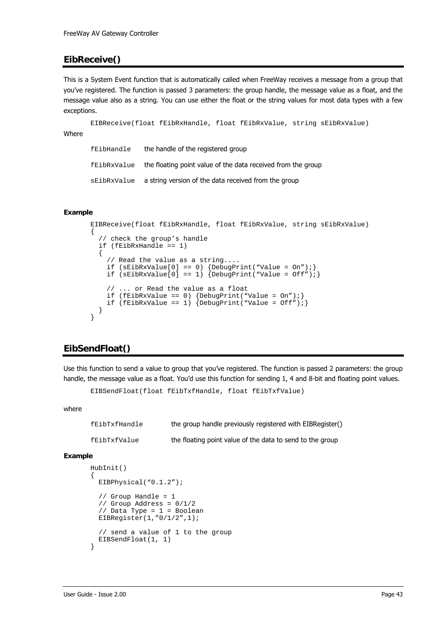### **EibReceive()**

This is a System Event function that is automatically called when FreeWay receives a message from a group that you've registered. The function is passed 3 parameters: the group handle, the message value as a float, and the message value also as a string. You can use either the float or the string values for most data types with a few exceptions.

```
EIBReceive(float fEibRxHandle, float fEibRxValue, string sEibRxValue)
```
Where

| fEibHandle  | the handle of the registered group                           |
|-------------|--------------------------------------------------------------|
| fEibRxValue | the floating point value of the data received from the group |
| sEibRxValue | a string version of the data received from the group         |

#### **Example**

```
EIBReceive(float fEibRxHandle, float fEibRxValue, string sEibRxValue) 
{ 
   // check the group's handle 
   if (fEibRxHandle == 1) 
   { 
     // Read the value as a string.... 
    if (sEibRxValue[0] == 0) {DebugPrint("Value = On");}
    if (sEibRxValue[0] == 1) {DebugPrint("Value = Off"); }
     // ... or Read the value as a float 
 if (fEibRxValue == 0) {DebugPrint("Value = On");} 
 if (fEibRxValue == 1) {DebugPrint("Value = Off");} 
   } 
}
```
### **EibSendFloat()**

Use this function to send a value to group that you've registered. The function is passed 2 parameters: the group handle, the message value as a float. You'd use this function for sending 1, 4 and 8-bit and floating point values.

EIBSendFloat(float fEibTxfHandle, float fEibTxfValue)

where

| fEibTxfHandle | the group handle previously registered with EIBRegister() |
|---------------|-----------------------------------------------------------|
| fEibTxfValue  | the floating point value of the data to send to the group |

```
HubInit() 
{ 
   EIBPhysical("0.1.2"); 
   // Group Handle = 1 
   // Group Address = 0/1/2 
   // Data Type = 1 = Boolean 
   EIBRegister(1,"0/1/2",1); 
   // send a value of 1 to the group 
   EIBSendFloat(1, 1) 
}
```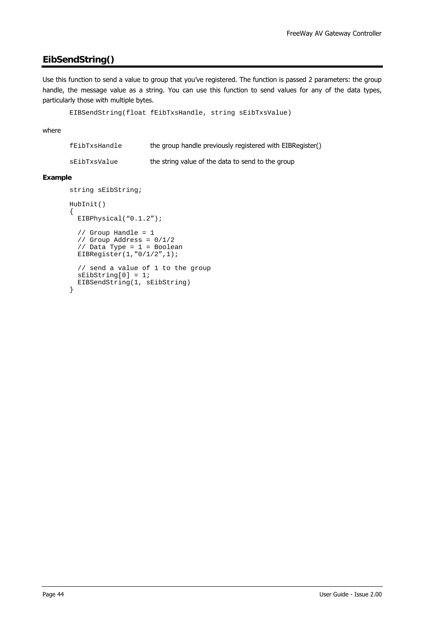### **EibSendString()**

Use this function to send a value to group that you've registered. The function is passed 2 parameters: the group handle, the message value as a string. You can use this function to send values for any of the data types, particularly those with multiple bytes.

```
EIBSendString(float fEibTxsHandle, string sEibTxsValue)
```
#### where

| fEibTxsHandle | the group handle previously registered with EIBRegister() |
|---------------|-----------------------------------------------------------|
| sEibTxsValue  | the string value of the data to send to the group         |

```
string sEibString; 
HubInit() 
{ 
   EIBPhysical("0.1.2"); 
   // Group Handle = 1 
 // Group Address = 0/1/2 
 // Data Type = 1 = Boolean 
  EIBRegister(1,"0/1/2",1);
   // send a value of 1 to the group 
   sEibString[0] = 1; 
   EIBSendString(1, sEibString) 
}
```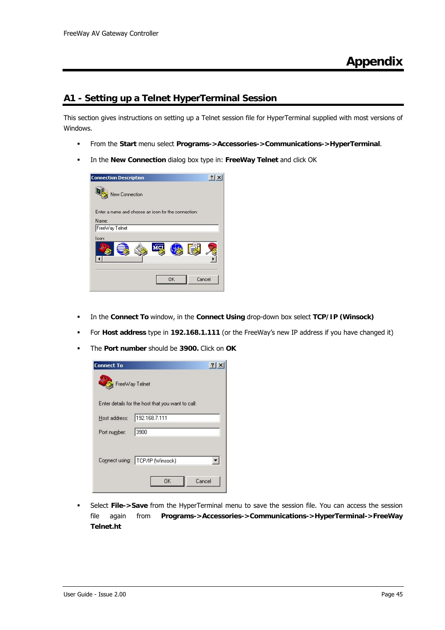# **A1 - Setting up a Telnet HyperTerminal Session**

This section gives instructions on setting up a Telnet session file for HyperTerminal supplied with most versions of Windows.

- From the **Start** menu select **Programs->Accessories->Communications->HyperTerminal**.
- In the **New Connection** dialog box type in: **FreeWay Telnet** and click OK

| <b>Connection Description</b>                       |                     | $\overline{P}$ |
|-----------------------------------------------------|---------------------|----------------|
| New Connection                                      |                     |                |
| Enter a name and choose an icon for the connection: |                     |                |
| Name:                                               |                     |                |
| FreeWay Telnet                                      |                     |                |
| Icon:                                               |                     |                |
|                                                     |                     |                |
|                                                     |                     |                |
|                                                     |                     |                |
|                                                     | Cancel<br><b>OK</b> |                |
|                                                     |                     |                |

- In the **Connect To** window, in the **Connect Using** drop-down box select **TCP/IP (Winsock)**
- For **Host address** type in **192.168.1.111** (or the FreeWay's new IP address if you have changed it)
- The **Port number** should be **3900.** Click on **OK**

| <b>Connect To</b> |                                                   |  |
|-------------------|---------------------------------------------------|--|
| FreeWay Telnet    |                                                   |  |
|                   | Enter details for the host that you want to call: |  |
| Host address:     | 192.168.7.111                                     |  |
| Port number:      | 3900                                              |  |
|                   | Connect using: TCP/IP (Winsock)                   |  |
|                   | <b>OK</b><br>Cancel                               |  |

 Select **File->Save** from the HyperTerminal menu to save the session file. You can access the session file again from **Programs->Accessories->Communications->HyperTerminal->FreeWay Telnet.ht**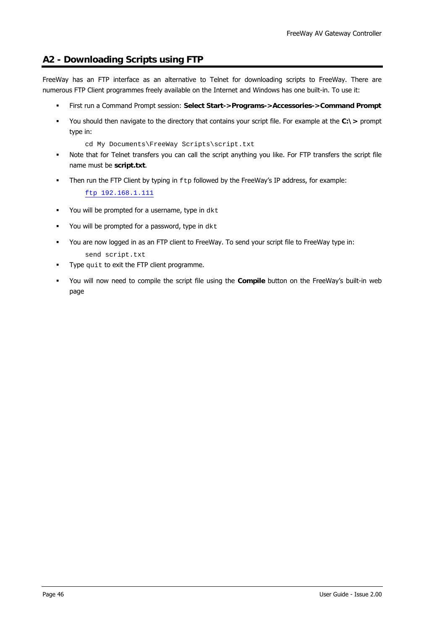# **A2 - Downloading Scripts using FTP**

FreeWay has an FTP interface as an alternative to Telnet for downloading scripts to FreeWay. There are numerous FTP Client programmes freely available on the Internet and Windows has one built-in. To use it:

- First run a Command Prompt session: **Select Start->Programs->Accessories->Command Prompt**
- You should then navigate to the directory that contains your script file. For example at the **C:\>** prompt type in:
	- cd My Documents\FreeWay Scripts\script.txt
- Note that for Telnet transfers you can call the script anything you like. For FTP transfers the script file name must be **script.txt**.
- Then run the FTP Client by typing in  $ftp$  followed by the FreeWay's IP address, for example:

ftp 192.168.1.111

- You will be prompted for a username, type in  $\det$
- You will be prompted for a password, type in dkt
- You are now logged in as an FTP client to FreeWay. To send your script file to FreeWay type in:

send script.txt

- Type quit to exit the FTP client programme.
- You will now need to compile the script file using the **Compile** button on the FreeWay's built-in web page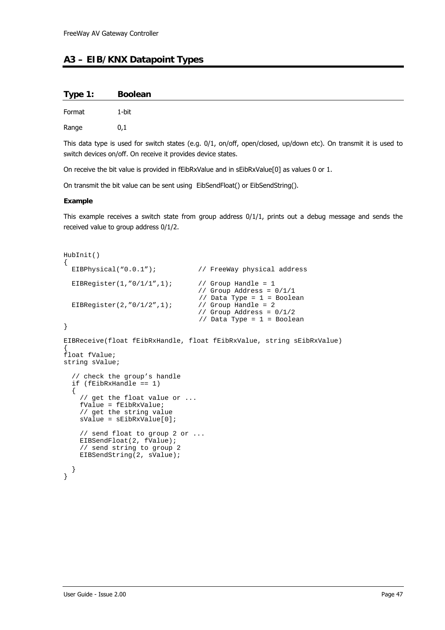# **A3 – EIB/KNX Datapoint Types**

### **Type 1: Boolean**

Format 1-bit

Range 0,1

This data type is used for switch states (e.g. 0/1, on/off, open/closed, up/down etc). On transmit it is used to switch devices on/off. On receive it provides device states.

On receive the bit value is provided in fEibRxValue and in sEibRxValue[0] as values 0 or 1.

On transmit the bit value can be sent using EibSendFloat() or EibSendString().

#### **Example**

This example receives a switch state from group address  $0/1/1$ , prints out a debug message and sends the received value to group address 0/1/2.

```
HubInit() 
{ 
   EIBPhysical("0.0.1"); // FreeWay physical address 
  EIBRegister(1,"0/1/1",1); // Group Handle = 1
                                    // Group Address = 0/1/1 
                                     // Data Type = 1 = Boolean 
  EIBRegister(2, "0/1/2", 1);
                                    // Group Address = 0/1/2 
                                     // Data Type = 1 = Boolean 
} 
EIBReceive(float fEibRxHandle, float fEibRxValue, string sEibRxValue) 
{ 
float fValue; 
string sValue; 
   // check the group's handle 
   if (fEibRxHandle == 1) 
  \left\{ \right. // get the float value or ... 
     fValue = fEibRxValue; 
     // get the string value 
     sValue = sEibRxValue[0]; 
     // send float to group 2 or ... 
     EIBSendFloat(2, fValue); 
     // send string to group 2 
     EIBSendString(2, sValue); 
   } 
}
```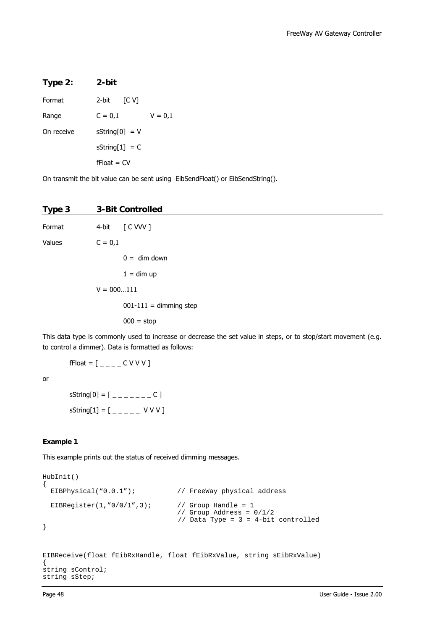| Type $2:$  | 2-bit                                                                          |
|------------|--------------------------------------------------------------------------------|
| Format     | 2-bit<br>$\mathsf{IC}\,\mathsf{V}$                                             |
| Range      | $C = 0,1$<br>$V = 0.1$                                                         |
| On receive | $sString[0] = V$                                                               |
|            | $sString[1] = C$                                                               |
|            | $f$ Float = $CV$                                                               |
|            | On transmit the bit value can be sent using EibSendFloat() or EibSendString(). |

| Type 3 | <b>3-Bit Controlled</b>                                                                                         |
|--------|-----------------------------------------------------------------------------------------------------------------|
| Format | $\lceil$ C VVV $\rceil$<br>4-bit                                                                                |
| Values | $C = 0.1$                                                                                                       |
|        | $0 = \dim \text{down}$                                                                                          |
|        | $1 = \dim$ up                                                                                                   |
|        | $V = 000111$                                                                                                    |
|        | $001-111 =$ dimming step                                                                                        |
|        | $000 = stop$                                                                                                    |
|        | This data type is commonly used to increase or decrease the set value in steps, or to stop/start movement (e.g. |

This data type is commonly used to increase or decrease the set value in steps, or to stop/start movement (e.g. to control a dimmer). Data is formatted as follows:

fFloat =  $[\_$  \_ \_ \_ \_ C V V V ]

or

 $sString[0] = [$  \_\_\_\_\_\_\_\_ C ]  $sString[1] = [$  \_\_\_\_\_ V V V ]

### **Example 1**

This example prints out the status of received dimming messages.

```
HubInit() 
{ 
  EIBPhysical("0.0.1"); // FreeWay physical address 
 EIBRegister(1,"0/0/1",3); // Group Handle = 1
                                // Group Address = 0/1/2 
                              // Data Type = 3 = 4-bit controlled 
}
```

```
EIBReceive(float fEibRxHandle, float fEibRxValue, string sEibRxValue) 
{ 
string sControl; 
string sStep;
```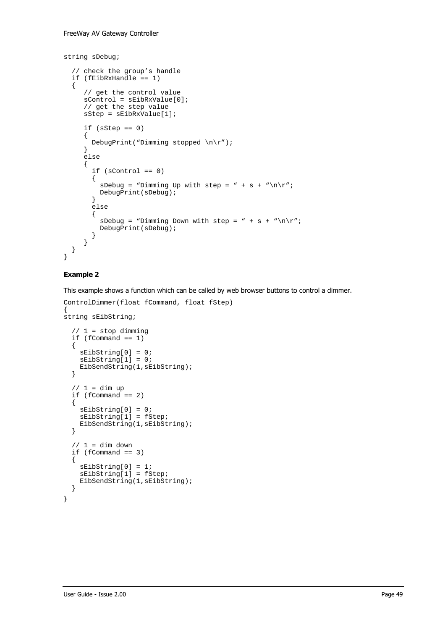#### FreeWay AV Gateway Controller

```
string sDebug; 
   // check the group's handle 
   if (fEibRxHandle == 1) 
   { 
      // get the control value 
      sControl = sEibRxValue[0]; 
      // get the step value 
      sStep = sEibRxValue[1]; 
     if (sStep == 0) { 
       DebugPrint("Dimming stopped \n\r");
      } 
      else 
     \left\{ \right. if (sControl == 0) 
         { 
          sDebug = "Dimming Up with step = " + s + "\n\r";
          DebugPrint(sDebug); 
         } 
         else 
\{sDebug = "Dimming Down with step = " + s + "\n\r";
           DebugPrint(sDebug); 
        } 
      } 
  } 
}
```
### **Example 2**

This example shows a function which can be called by web browser buttons to control a dimmer.

```
ControlDimmer(float fCommand, float fStep) 
{ 
string sEibString; 
   // 1 = stop dimming 
  if (fCommand == 1) { 
     sEibString[0] = 0; 
    sEibString[1] = 0; EibSendString(1,sEibString); 
   } 
  // 1 = \dim upif (fCommand == 2) { 
     sEibString[0] = 0; 
     sEibString[1] = fStep; 
    EibSendString(1,sEibString);
   } 
  // 1 = \dim \text{ down}if (fCommand == 3) { 
     sEibString[0] = 1; 
     sEibString[1] = fStep; 
     EibSendString(1,sEibString); 
   } 
}
```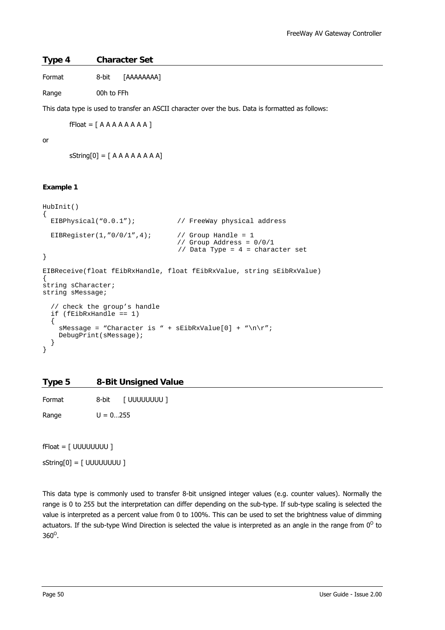### **Type 4 Character Set**

| Format | 8-bit | [AAAAAAA] |
|--------|-------|-----------|
|        |       |           |

Range 00h to FFh

This data type is used to transfer an ASCII character over the bus. Data is formatted as follows:

 $fF$ loat =  $[A A A A A A A]$ 

or

 $sString[0] = [A A A A A A A A]$ 

### **Example 1**

```
HubInit() 
{<br>EIBPhysical("0.0.1");
                                   // FreeWay physical address
  EIBReqister(1,"0/0/1",4); // Group Handle = 1
                                   // Group Address = 0/0/1 
                                     // Data Type = 4 = character set 
} 
EIBReceive(float fEibRxHandle, float fEibRxValue, string sEibRxValue) 
{ 
string sCharacter;
string sMessage; 
   // check the group's handle 
   if (fEibRxHandle == 1) 
   { 
    sMessage = "Character is " + sEibRxValue[0] + "\n\r";
     DebugPrint(sMessage); 
   } 
}
```
### **Type 5 8-Bit Unsigned Value**

Format 8-bit [ UUUUUUUU ]

Range  $U = 0...255$ 

fFloat = [ UUUUUUUU ]  $sString[0] = [ UUUUUUUU]$ 

This data type is commonly used to transfer 8-bit unsigned integer values (e.g. counter values). Normally the range is 0 to 255 but the interpretation can differ depending on the sub-type. If sub-type scaling is selected the value is interpreted as a percent value from 0 to 100%. This can be used to set the brightness value of dimming actuators. If the sub-type Wind Direction is selected the value is interpreted as an angle in the range from  $0^0$  to  $360^\circ$ .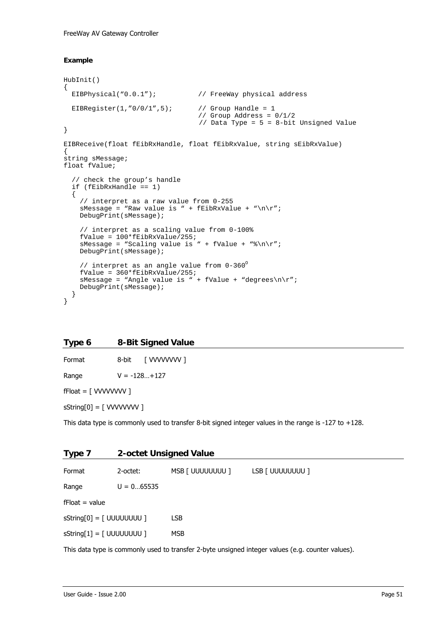### **Example**

```
HubInit() 
{<br>
EIBPhysical("0.0.1");
                                   // FreeWay physical address
 EIBRegister(1,"0/0/1",5); // Group Handle = 1// Group Address = 0/1/2 
                                     // Data Type = 5 = 8-bit Unsigned Value 
} 
EIBReceive(float fEibRxHandle, float fEibRxValue, string sEibRxValue) 
{ 
string sMessage; 
float fValue; 
   // check the group's handle 
   if (fEibRxHandle == 1) 
  \left\{ \right. // interpret as a raw value from 0-255 
    sMessage = "Raw value is " + fEibRxValue + "\n\r";
    DebugPrint(sMessage);
     // interpret as a scaling value from 0-100% 
     fValue = 100*fEibRxValue/255; 
    sMessage = "Scaling value is " + fValue + "\n'n\r";
     DebugPrint(sMessage); 
    // interpret as an angle value from 0-360^{\circ} fValue = 360*fEibRxValue/255; 
    sMessage = "Angle value is " + fValue + "degrees\n\r";
     DebugPrint(sMessage); 
   } 
}
```
### **Type 6 8-Bit Signed Value**

| Format | 8-bit          | [ WWWWV ] |
|--------|----------------|-----------|
| Range  | $V = -128+127$ |           |

fFloat =  $\lceil$  VVVVVVV  $\rceil$ 

sString[0] = [ VVVVVVV ]

This data type is commonly used to transfer 8-bit signed integer values in the range is -127 to +128.

| Type 7                     |                            | 2-octet Unsigned Value |                  |  |  |
|----------------------------|----------------------------|------------------------|------------------|--|--|
| Format                     | 2-octet:                   | MSB [ UUUUUUUU ]       | LSB [ UUUUUUUU ] |  |  |
| Range                      | $U = 065535$               |                        |                  |  |  |
| $fF$ loat = value          |                            |                        |                  |  |  |
| $sString[0] = [ UUUUUUUU]$ |                            | <b>LSB</b>             |                  |  |  |
|                            | $sString[1] = [ UUUUUUUU]$ | <b>MSB</b>             |                  |  |  |
|                            |                            |                        |                  |  |  |

This data type is commonly used to transfer 2-byte unsigned integer values (e.g. counter values).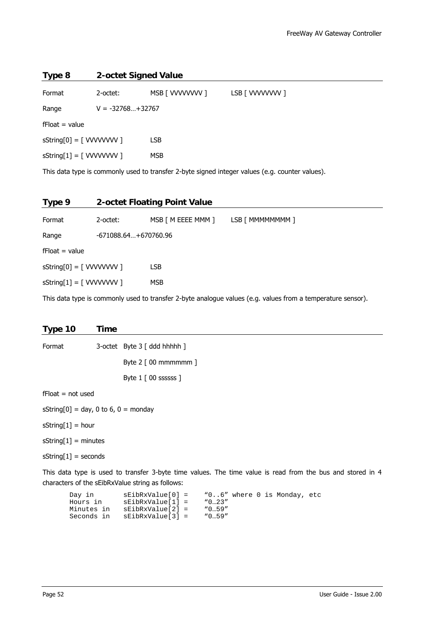| Type 8                          | 2-octet Signed Value |                 |                 |  |
|---------------------------------|----------------------|-----------------|-----------------|--|
| Format                          | 2-octet:             | MSB [ VVVVVVV ] | LSB [ VVVVVVV ] |  |
| Range                           | $V = -32768+32767$   |                 |                 |  |
| $fF$ loat = value               |                      |                 |                 |  |
| sString[0] = $\lceil$ VVVVVVV ] |                      | <b>LSB</b>      |                 |  |
| sString $[1] =$ [ VVVVVVV ]     |                      | MSB             |                 |  |
|                                 |                      |                 |                 |  |

This data type is commonly used to transfer 2-byte signed integer values (e.g. counter values).

| Type 9                                 |                        | 2-octet Floating Point Value |                 |  |
|----------------------------------------|------------------------|------------------------------|-----------------|--|
| Format                                 | 2-octet:               | MSB [ M EEEE MMM ]           | LSB [ MMMMMMM ] |  |
| Range                                  | $-671088.64+670760.96$ |                              |                 |  |
| $fF$ loat = value                      |                        |                              |                 |  |
| $sString[0] = [ VVVVVVVV ]$            |                        | <b>LSB</b>                   |                 |  |
| sString[1] = $\lceil$ VVVVVVV $\rceil$ |                        | MSB                          |                 |  |
|                                        |                        |                              |                 |  |

This data type is commonly used to transfer 2-byte analogue values (e.g. values from a temperature sensor).

| Type 10                              | Time |                                                                                                                                                                |
|--------------------------------------|------|----------------------------------------------------------------------------------------------------------------------------------------------------------------|
| Format                               |      | $3$ -octet Byte $3 \lceil$ ddd hhhhh $\rceil$                                                                                                                  |
|                                      |      | Byte $2 \mid 00 \text{ mmmmmm} \mid$                                                                                                                           |
|                                      |      | Byte $1 \mid 00$ ssssss $\mid$                                                                                                                                 |
| $f$ Float = not used                 |      |                                                                                                                                                                |
| sString[0] = day, 0 to 6, 0 = monday |      |                                                                                                                                                                |
| $sString[1] = hour$                  |      |                                                                                                                                                                |
| $sString[1] = minutes$               |      |                                                                                                                                                                |
| $sString[1] = seconds$               |      |                                                                                                                                                                |
|                                      |      | This data type is used to transfer 3-byte time values. The time value is read from the bus and stored in 4<br>characters of the sEibRxValue string as follows: |
| Day in                               |      | $stibRxValue[0] = "06" where 0 is Monday, etc$                                                                                                                 |

Day in sEibRxValue[0] = "0..6" where 0 is Monday, etc Hours in sEibRxValue[1] = "0…23" Minutes in sEibRxValue[2] = "0…59" Seconds in sEibRxValue[3] = "0…59"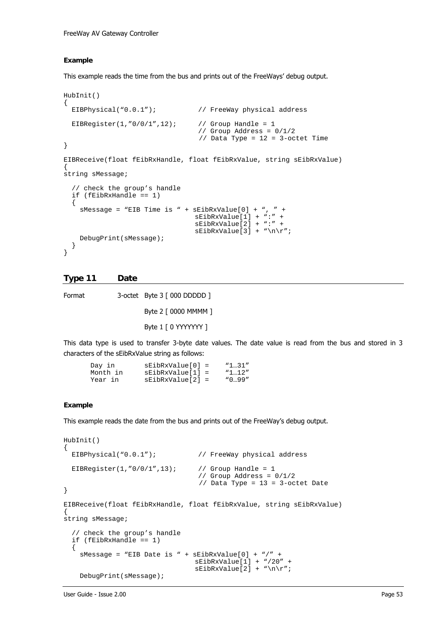#### **Example**

This example reads the time from the bus and prints out of the FreeWays' debug output.

```
HubInit() 
{ 
 EIBPhysical("0.0.1"); // FreeWay physical address
 EIBReqister(1,"0/0/1",12); // Group Handle = 1
                                  // Group Address = 0/1/2 
                                  // Data Type = 12 = 3-octet Time} 
EIBReceive(float fEibRxHandle, float fEibRxValue, string sEibRxValue) 
{ 
string sMessage; 
   // check the group's handle 
  if (EibRxHandle = 1)\{sMessage = "EIB Time is " + sEibRxValue[0] + ", " +
                                 sEibRxValue[1] + ":" + 
                                  sEibRxValue[2] + ":" + 
                                sEibRxValue[3] + "n\rr"; DebugPrint(sMessage); 
  } 
}
```
### **Type 11 Date**

Format 3-octet Byte 3 [ 000 DDDDD ] Byte 2 [ 0000 MMMM ] Byte 1 [ 0 YYYYYYY ]

This data type is used to transfer 3-byte date values. The date value is read from the bus and stored in 3 characters of the sEibRxValue string as follows:

| Day in   | $sEibRxValue[0] =$ | "131" |
|----------|--------------------|-------|
| Month in | $sEibRxValue[1] =$ | "112" |
| Year in  | $sEibRxValue[2] =$ | "099" |

#### **Example**

This example reads the date from the bus and prints out of the FreeWay's debug output.

```
HubInit() 
{ 
 EIBPhysical("0.0.1"); // FreeWay physical address
 EIBRegister(1,"0/0/1",13); // Group Handle = 1
                                  // Group Address = 0/1/2 
                                   // Data Type = 13 = 3-octet Date 
} 
EIBReceive(float fEibRxHandle, float fEibRxValue, string sEibRxValue) 
{ 
string sMessage; 
   // check the group's handle 
   if (fEibRxHandle == 1) 
\{sMessage = "EIB Date is " + sEibRxValue[0] + "/* sEibRxValue[1] + "/20" + 
                                  sEibRxValue[2] + "\n\r"; 
     DebugPrint(sMessage);
```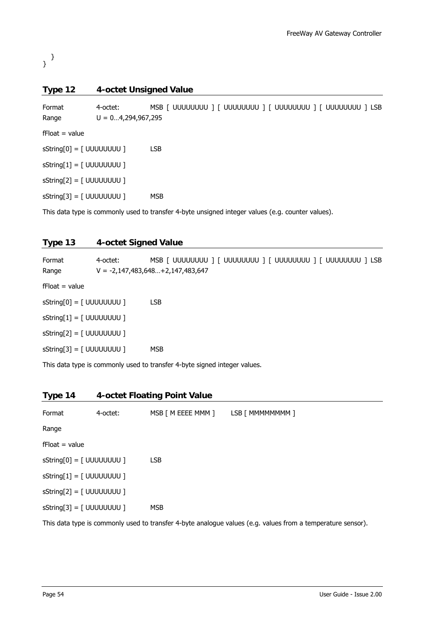} }

## **Type 12 4-octet Unsigned Value**

Format 4-octet: MSB [ UUUUUUUU ] [ UUUUUUUU ] [ UUUUUUUU ] [ UUUUUUUU ] LSB Range  $U = 0...4,294,967,295$  $fF$ loat = value sString[0] = [ UUUUUUUU ] LSB sString[1] = [ UUUUUUUU ]  $sString[2] = [ UUUUUUUUU ]$  $sString[3] = [UUUUUUUU]$  MSB This data type is commonly used to transfer 4-byte unsigned integer values (e.g. counter values).

| Type 13 | 4-octet Signed Value |
|---------|----------------------|
|         |                      |

| Format<br>Range            | 4-octet: | $V = -2,147,483,648+2,147,483,647$ |
|----------------------------|----------|------------------------------------|
| $fF$ loat = value          |          |                                    |
| $sString[0] = [ UUUUUUUU]$ |          | <b>LSB</b>                         |
| $sString[1] = [ UUUUUUUU]$ |          |                                    |
| $sString[2] = [ UUUUUUUU]$ |          |                                    |
| $sString[3] = [ UUUUUUUU]$ |          | MSB                                |
|                            |          |                                    |

This data type is commonly used to transfer 4-byte signed integer values.

### **Type 14 4-octet Floating Point Value**

| Format                     | 4-octet: | MSB   M EEEE MMM ] | LSB [ MMMMMMM ] |
|----------------------------|----------|--------------------|-----------------|
| Range                      |          |                    |                 |
| $fF$ loat = value          |          |                    |                 |
| $sString[0] = [ UUUUUUUU]$ |          | <b>LSB</b>         |                 |
| $sString[1] = [ UUUUUUUU]$ |          |                    |                 |
| $sString[2] = [ UUUUUUUU]$ |          |                    |                 |
| $sString[3] = [ UUUUUUUU]$ |          | <b>MSB</b>         |                 |
|                            |          |                    |                 |

This data type is commonly used to transfer 4-byte analogue values (e.g. values from a temperature sensor).